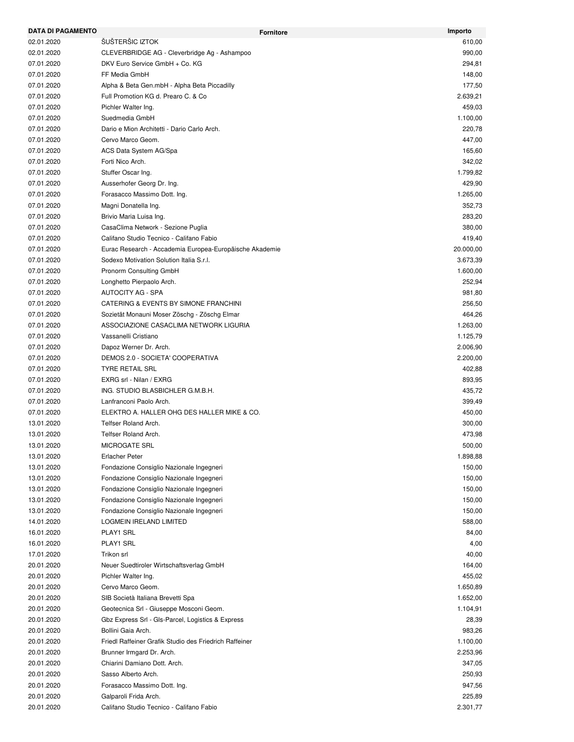| <b>DATA DI PAGAMENTO</b> | <b>Fornitore</b>                                           | Importo   |
|--------------------------|------------------------------------------------------------|-----------|
| 02.01.2020               | ŠUŠTERŠIC IZTOK                                            | 610,00    |
| 02.01.2020               | CLEVERBRIDGE AG - Cleverbridge Ag - Ashampoo               | 990,00    |
| 07.01.2020               | DKV Euro Service GmbH + Co. KG                             | 294,81    |
| 07.01.2020               | FF Media GmbH                                              | 148,00    |
| 07.01.2020               | Alpha & Beta Gen.mbH - Alpha Beta Piccadilly               | 177,50    |
| 07.01.2020               | Full Promotion KG d. Prearo C. & Co                        | 2.639,21  |
| 07.01.2020               | Pichler Walter Ing.                                        | 459,03    |
| 07.01.2020               | Suedmedia GmbH                                             | 1.100,00  |
| 07.01.2020               | Dario e Mion Architetti - Dario Carlo Arch.                | 220,78    |
| 07.01.2020               | Cervo Marco Geom.                                          | 447,00    |
| 07.01.2020               | ACS Data System AG/Spa                                     | 165,60    |
| 07.01.2020               | Forti Nico Arch.                                           | 342,02    |
| 07.01.2020               | Stuffer Oscar Ing.                                         | 1.799,82  |
| 07.01.2020               | Ausserhofer Georg Dr. Ing.                                 | 429,90    |
| 07.01.2020               | Forasacco Massimo Dott. Ing.                               | 1.265,00  |
| 07.01.2020               | Magni Donatella Ing.                                       | 352,73    |
| 07.01.2020               | Brivio Maria Luisa Ing.                                    | 283,20    |
| 07.01.2020               | CasaClima Network - Sezione Puglia                         | 380,00    |
| 07.01.2020               | Califano Studio Tecnico - Califano Fabio                   | 419,40    |
| 07.01.2020               | Eurac Research - Accademia Europea-Europäische Akademie    | 20.000,00 |
| 07.01.2020               | Sodexo Motivation Solution Italia S.r.l.                   | 3.673,39  |
| 07.01.2020               | Pronorm Consulting GmbH                                    | 1.600,00  |
| 07.01.2020               | Longhetto Pierpaolo Arch.                                  | 252,94    |
| 07.01.2020               | <b>AUTOCITY AG - SPA</b>                                   | 981,80    |
| 07.01.2020               | CATERING & EVENTS BY SIMONE FRANCHINI                      | 256,50    |
| 07.01.2020               | Sozietät Monauni Moser Zöschg - Zöschg Elmar               | 464,26    |
| 07.01.2020               | ASSOCIAZIONE CASACLIMA NETWORK LIGURIA                     | 1.263,00  |
| 07.01.2020               | Vassanelli Cristiano                                       | 1.125,79  |
| 07.01.2020               | Dapoz Werner Dr. Arch.                                     | 2.006,90  |
|                          |                                                            | 2.200,00  |
| 07.01.2020               | DEMOS 2.0 - SOCIETA' COOPERATIVA<br><b>TYRE RETAIL SRL</b> |           |
| 07.01.2020               |                                                            | 402,88    |
| 07.01.2020               | EXRG srl - Nilan / EXRG                                    | 893,95    |
| 07.01.2020               | ING. STUDIO BLASBICHLER G.M.B.H.                           | 435,72    |
| 07.01.2020               | Lanfranconi Paolo Arch.                                    | 399,49    |
| 07.01.2020               | ELEKTRO A. HALLER OHG DES HALLER MIKE & CO.                | 450,00    |
| 13.01.2020               | Telfser Roland Arch.                                       | 300,00    |
| 13.01.2020               | Telfser Roland Arch.                                       | 473,98    |
| 13.01.2020               | <b>MICROGATE SRL</b>                                       | 500,00    |
| 13.01.2020               | <b>Erlacher Peter</b>                                      | 1.898,88  |
| 13.01.2020               | Fondazione Consiglio Nazionale Ingegneri                   | 150,00    |
| 13.01.2020               | Fondazione Consiglio Nazionale Ingegneri                   | 150,00    |
| 13.01.2020               | Fondazione Consiglio Nazionale Ingegneri                   | 150,00    |
| 13.01.2020               | Fondazione Consiglio Nazionale Ingegneri                   | 150,00    |
| 13.01.2020               | Fondazione Consiglio Nazionale Ingegneri                   | 150,00    |
| 14.01.2020               | <b>LOGMEIN IRELAND LIMITED</b>                             | 588,00    |
| 16.01.2020               | PLAY1 SRL                                                  | 84,00     |
| 16.01.2020               | PLAY1 SRL                                                  | 4,00      |
| 17.01.2020               | Trikon srl                                                 | 40,00     |
| 20.01.2020               | Neuer Suedtiroler Wirtschaftsverlag GmbH                   | 164,00    |
| 20.01.2020               | Pichler Walter Ing.                                        | 455,02    |
| 20.01.2020               | Cervo Marco Geom.                                          | 1.650,89  |
| 20.01.2020               | SIB Società Italiana Brevetti Spa                          | 1.652,00  |
| 20.01.2020               | Geotecnica Srl - Giuseppe Mosconi Geom.                    | 1.104,91  |
| 20.01.2020               | Gbz Express Srl - Gls-Parcel, Logistics & Express          | 28,39     |
| 20.01.2020               | Bollini Gaia Arch.                                         | 983,26    |
| 20.01.2020               | Friedl Raffeiner Grafik Studio des Friedrich Raffeiner     | 1.100,00  |
| 20.01.2020               | Brunner Irmgard Dr. Arch.                                  | 2.253,96  |
| 20.01.2020               | Chiarini Damiano Dott. Arch.                               | 347,05    |
| 20.01.2020               | Sasso Alberto Arch.                                        | 250,93    |
| 20.01.2020               | Forasacco Massimo Dott. Ing.                               | 947,56    |
| 20.01.2020               | Galparoli Frida Arch.                                      | 225,89    |
| 20.01.2020               | Califano Studio Tecnico - Califano Fabio                   | 2.301,77  |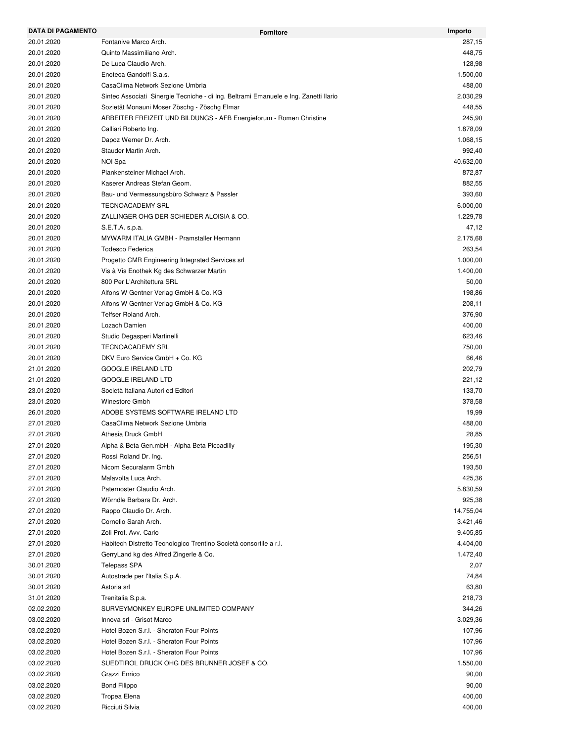| <b>DATA DI PAGAMENTO</b> | <b>Fornitore</b>                                                                     | Importo   |
|--------------------------|--------------------------------------------------------------------------------------|-----------|
| 20.01.2020               | Fontanive Marco Arch.                                                                | 287,15    |
| 20.01.2020               | Quinto Massimiliano Arch.                                                            | 448,75    |
| 20.01.2020               | De Luca Claudio Arch.                                                                | 128,98    |
| 20.01.2020               | Enoteca Gandolfi S.a.s.                                                              | 1.500,00  |
| 20.01.2020               | CasaClima Network Sezione Umbria                                                     | 488,00    |
| 20.01.2020               | Sintec Associati Sinergie Tecniche - di Ing. Beltrami Emanuele e Ing. Zanetti Ilario | 2.030,29  |
| 20.01.2020               | Sozietät Monauni Moser Zöschg - Zöschg Elmar                                         | 448,55    |
| 20.01.2020               | ARBEITER FREIZEIT UND BILDUNGS - AFB Energieforum - Romen Christine                  | 245,90    |
| 20.01.2020               | Calliari Roberto Ing.                                                                | 1.878,09  |
| 20.01.2020               | Dapoz Werner Dr. Arch.                                                               | 1.068,15  |
| 20.01.2020               | Stauder Martin Arch.                                                                 | 992,40    |
| 20.01.2020               | NOI Spa                                                                              | 40.632,00 |
| 20.01.2020               | Plankensteiner Michael Arch.                                                         | 872,87    |
| 20.01.2020               | Kaserer Andreas Stefan Geom.                                                         | 882,55    |
| 20.01.2020               | Bau- und Vermessungsbüro Schwarz & Passler                                           | 393,60    |
| 20.01.2020               | <b>TECNOACADEMY SRL</b>                                                              | 6.000,00  |
| 20.01.2020               | ZALLINGER OHG DER SCHIEDER ALOISIA & CO.                                             | 1.229,78  |
| 20.01.2020               | S.E.T.A. s.p.a.                                                                      | 47,12     |
| 20.01.2020               | MYWARM ITALIA GMBH - Pramstaller Hermann                                             | 2.175,68  |
| 20.01.2020               | <b>Todesco Federica</b>                                                              | 263,54    |
| 20.01.2020               | Progetto CMR Engineering Integrated Services srl                                     | 1.000,00  |
| 20.01.2020               | Vis à Vis Enothek Kg des Schwarzer Martin                                            | 1.400,00  |
| 20.01.2020               | 800 Per L'Architettura SRL                                                           | 50,00     |
| 20.01.2020               | Alfons W Gentner Verlag GmbH & Co. KG                                                | 198,86    |
| 20.01.2020               | Alfons W Gentner Verlag GmbH & Co. KG                                                | 208,11    |
| 20.01.2020               | Telfser Roland Arch.                                                                 | 376,90    |
| 20.01.2020               | Lozach Damien                                                                        | 400,00    |
| 20.01.2020               | Studio Degasperi Martinelli                                                          | 623,46    |
| 20.01.2020               | <b>TECNOACADEMY SRL</b>                                                              | 750,00    |
| 20.01.2020               | DKV Euro Service GmbH + Co. KG                                                       | 66,46     |
| 21.01.2020               | <b>GOOGLE IRELAND LTD</b>                                                            | 202,79    |
| 21.01.2020               | <b>GOOGLE IRELAND LTD</b>                                                            | 221,12    |
| 23.01.2020               | Società Italiana Autori ed Editori                                                   | 133,70    |
| 23.01.2020               | Winestore Gmbh                                                                       | 378,58    |
| 26.01.2020               | ADOBE SYSTEMS SOFTWARE IRELAND LTD                                                   | 19,99     |
| 27.01.2020               | CasaClima Network Sezione Umbria                                                     | 488,00    |
| 27.01.2020               | Athesia Druck GmbH                                                                   | 28,85     |
| 27.01.2020               | Alpha & Beta Gen.mbH - Alpha Beta Piccadilly                                         | 195,30    |
| 27.01.2020               | Rossi Roland Dr. Ing.                                                                | 256,51    |
| 27.01.2020               | Nicom Securalarm Gmbh                                                                | 193,50    |
| 27.01.2020               | Malavolta Luca Arch.                                                                 | 425,36    |
| 27.01.2020               | Paternoster Claudio Arch.                                                            | 5.830,59  |
| 27.01.2020               | Wörndle Barbara Dr. Arch.                                                            | 925,38    |
| 27.01.2020               | Rappo Claudio Dr. Arch.                                                              | 14.755,04 |
| 27.01.2020               | Cornelio Sarah Arch.                                                                 |           |
|                          | Zoli Prof. Avv. Carlo                                                                | 3.421,46  |
| 27.01.2020               |                                                                                      | 9.405,85  |
| 27.01.2020               | Habitech Distretto Tecnologico Trentino Società consortile a r.l.                    | 4.404,00  |
| 27.01.2020               | GerryLand kg des Alfred Zingerle & Co.                                               | 1.472,40  |
| 30.01.2020               | <b>Telepass SPA</b>                                                                  | 2,07      |
| 30.01.2020               | Autostrade per l'Italia S.p.A.                                                       | 74,84     |
| 30.01.2020               | Astoria srl                                                                          | 63,80     |
| 31.01.2020               | Trenitalia S.p.a.                                                                    | 218,73    |
| 02.02.2020               | SURVEYMONKEY EUROPE UNLIMITED COMPANY                                                | 344,26    |
| 03.02.2020               | Innova srl - Grisot Marco                                                            | 3.029,36  |
| 03.02.2020               | Hotel Bozen S.r.l. - Sheraton Four Points                                            | 107,96    |
| 03.02.2020               | Hotel Bozen S.r.l. - Sheraton Four Points                                            | 107,96    |
| 03.02.2020               | Hotel Bozen S.r.l. - Sheraton Four Points                                            | 107,96    |
| 03.02.2020               | SUEDTIROL DRUCK OHG DES BRUNNER JOSEF & CO.                                          | 1.550,00  |
| 03.02.2020               | Grazzi Enrico                                                                        | 90,00     |
| 03.02.2020               | Bond Filippo                                                                         | 90,00     |
| 03.02.2020               | Tropea Elena                                                                         | 400,00    |
| 03.02.2020               | Ricciuti Silvia                                                                      | 400,00    |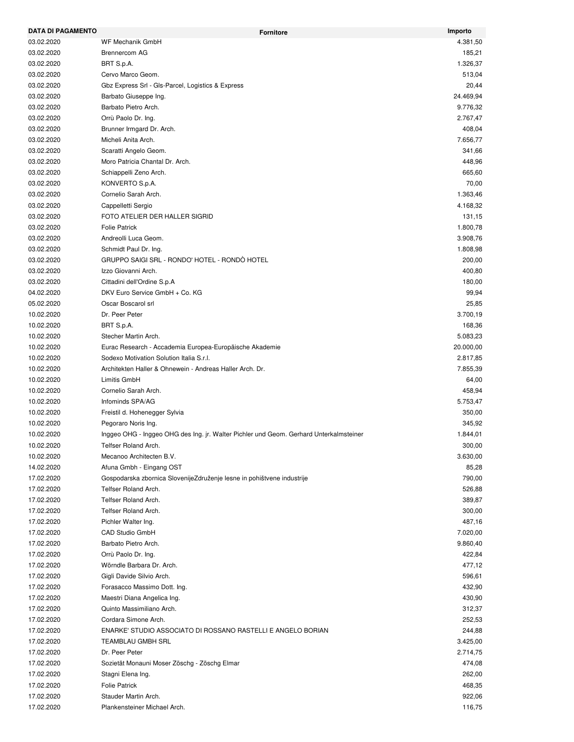| <b>DATA DI PAGAMENTO</b> | <b>Fornitore</b>                                                                       | Importo   |
|--------------------------|----------------------------------------------------------------------------------------|-----------|
| 03.02.2020               | <b>WF Mechanik GmbH</b>                                                                | 4.381,50  |
| 03.02.2020               | <b>Brennercom AG</b>                                                                   | 185,21    |
| 03.02.2020               | BRT S.p.A.                                                                             | 1.326,37  |
| 03.02.2020               | Cervo Marco Geom.                                                                      | 513,04    |
| 03.02.2020               | Gbz Express Srl - Gls-Parcel, Logistics & Express                                      | 20,44     |
| 03.02.2020               | Barbato Giuseppe Ing.                                                                  | 24.469,94 |
| 03.02.2020               | Barbato Pietro Arch.                                                                   | 9.776,32  |
| 03.02.2020               | Orrù Paolo Dr. Ing.                                                                    | 2.767,47  |
| 03.02.2020               | Brunner Irmgard Dr. Arch.                                                              | 408,04    |
| 03.02.2020               | Micheli Anita Arch.                                                                    | 7.656,77  |
| 03.02.2020               | Scaratti Angelo Geom.                                                                  | 341,66    |
| 03.02.2020               | Moro Patricia Chantal Dr. Arch.                                                        | 448,96    |
| 03.02.2020               | Schiappelli Zeno Arch.                                                                 | 665,60    |
| 03.02.2020               | KONVERTO S.p.A.                                                                        | 70,00     |
| 03.02.2020               | Cornelio Sarah Arch.                                                                   | 1.363,46  |
| 03.02.2020               | Cappelletti Sergio                                                                     | 4.168,32  |
| 03.02.2020               | FOTO ATELIER DER HALLER SIGRID                                                         | 131,15    |
| 03.02.2020               | <b>Folie Patrick</b>                                                                   | 1.800,78  |
| 03.02.2020               | Andreolli Luca Geom.                                                                   | 3.908,76  |
| 03.02.2020               | Schmidt Paul Dr. Ing.                                                                  | 1.808,98  |
| 03.02.2020               | GRUPPO SAIGI SRL - RONDO' HOTEL - RONDÒ HOTEL                                          | 200,00    |
| 03.02.2020               | Izzo Giovanni Arch.                                                                    | 400,80    |
| 03.02.2020               | Cittadini dell'Ordine S.p.A                                                            | 180,00    |
| 04.02.2020               | DKV Euro Service GmbH + Co. KG                                                         | 99,94     |
| 05.02.2020               | Oscar Boscarol srl                                                                     | 25,85     |
| 10.02.2020               | Dr. Peer Peter                                                                         | 3.700,19  |
| 10.02.2020               | BRT S.p.A.                                                                             | 168,36    |
| 10.02.2020               | Stecher Martin Arch.                                                                   | 5.083,23  |
| 10.02.2020               | Eurac Research - Accademia Europea-Europäische Akademie                                | 20.000,00 |
| 10.02.2020               | Sodexo Motivation Solution Italia S.r.l.                                               | 2.817,85  |
| 10.02.2020               | Architekten Haller & Ohnewein - Andreas Haller Arch. Dr.                               | 7.855,39  |
| 10.02.2020               | Limitis GmbH                                                                           | 64,00     |
| 10.02.2020               | Cornelio Sarah Arch.                                                                   | 458,94    |
| 10.02.2020               | Infominds SPA/AG                                                                       | 5.753,47  |
| 10.02.2020               | Freistil d. Hohenegger Sylvia                                                          | 350,00    |
| 10.02.2020               | Pegoraro Noris Ing.                                                                    | 345,92    |
| 10.02.2020               | Inggeo OHG - Inggeo OHG des Ing. jr. Walter Pichler und Geom. Gerhard Unterkalmsteiner | 1.844,01  |
| 10.02.2020               | Telfser Roland Arch.                                                                   | 300,00    |
| 10.02.2020               | Mecanoo Architecten B.V.                                                               | 3.630,00  |
| 14.02.2020               | Afuna Gmbh - Eingang OST                                                               | 85,28     |
| 17.02.2020               | Gospodarska zbornica SlovenijeZdruženje lesne in pohištvene industrije                 | 790,00    |
| 17.02.2020               | Telfser Roland Arch.                                                                   | 526,88    |
| 17.02.2020               | Telfser Roland Arch.                                                                   | 389,87    |
| 17.02.2020               | Telfser Roland Arch.                                                                   | 300,00    |
| 17.02.2020               | Pichler Walter Ing.                                                                    | 487,16    |
| 17.02.2020               | CAD Studio GmbH                                                                        | 7.020,00  |
| 17.02.2020               | Barbato Pietro Arch.                                                                   | 9.860,40  |
| 17.02.2020               | Orrù Paolo Dr. Ing.                                                                    | 422,84    |
| 17.02.2020               | Wörndle Barbara Dr. Arch.                                                              | 477,12    |
| 17.02.2020               | Gigli Davide Silvio Arch.                                                              | 596,61    |
| 17.02.2020               |                                                                                        | 432,90    |
| 17.02.2020               | Forasacco Massimo Dott. Ing.                                                           | 430,90    |
|                          | Maestri Diana Angelica Ing.                                                            |           |
| 17.02.2020               | Quinto Massimiliano Arch.                                                              | 312,37    |
| 17.02.2020               | Cordara Simone Arch.                                                                   | 252,53    |
| 17.02.2020               | ENARKE' STUDIO ASSOCIATO DI ROSSANO RASTELLI E ANGELO BORIAN                           | 244,88    |
| 17.02.2020               | TEAMBLAU GMBH SRL                                                                      | 3.425,00  |
| 17.02.2020               | Dr. Peer Peter                                                                         | 2.714,75  |
| 17.02.2020               | Sozietät Monauni Moser Zöschg - Zöschg Elmar                                           | 474,08    |
| 17.02.2020               | Stagni Elena Ing.                                                                      | 262,00    |
| 17.02.2020               | <b>Folie Patrick</b>                                                                   | 468,35    |
| 17.02.2020               | Stauder Martin Arch.                                                                   | 922,06    |
| 17.02.2020               | Plankensteiner Michael Arch.                                                           | 116,75    |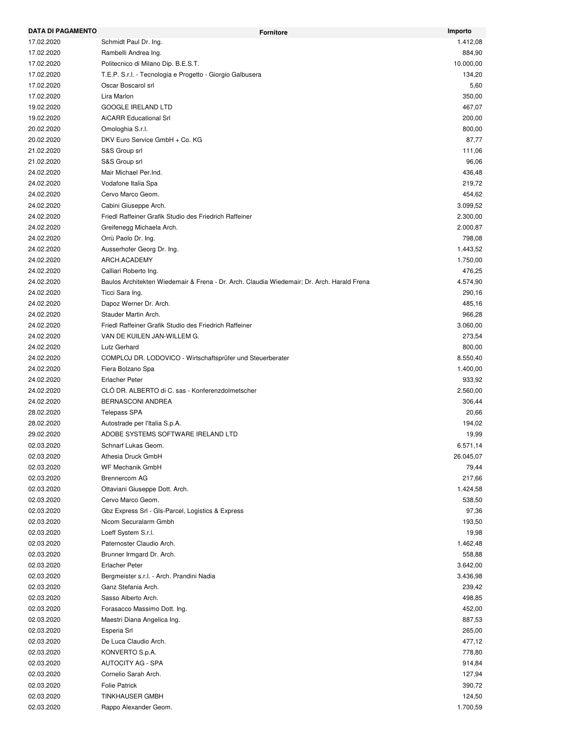| <b>DATA DI PAGAMENTO</b> | <b>Fornitore</b>                                                                           | Importo            |
|--------------------------|--------------------------------------------------------------------------------------------|--------------------|
| 17.02.2020               | Schmidt Paul Dr. Ing.                                                                      | 1.412,08           |
| 17.02.2020               | Rambelli Andrea Ing.                                                                       | 884,90             |
| 17.02.2020               | Politecnico di Milano Dip. B.E.S.T.                                                        | 10.000,00          |
| 17.02.2020               | T.E.P. S.r.I. - Tecnologia e Progetto - Giorgio Galbusera                                  | 134,20             |
| 17.02.2020               | Oscar Boscarol srl                                                                         | 5,60               |
| 17.02.2020               | Lira Marlon                                                                                | 350,00             |
| 19.02.2020               | <b>GOOGLE IRELAND LTD</b>                                                                  | 467,07             |
| 19.02.2020               | <b>AiCARR Educational Srl</b>                                                              | 200,00             |
| 20.02.2020               | Omologhia S.r.l.                                                                           | 800,00             |
| 20.02.2020               | DKV Euro Service GmbH + Co. KG                                                             | 87,77              |
| 21.02.2020               | S&S Group srl                                                                              | 111,06             |
| 21.02.2020               | S&S Group srl                                                                              | 96,06              |
| 24.02.2020               | Mair Michael Per.Ind.                                                                      | 436,48             |
| 24.02.2020               | Vodafone Italia Spa                                                                        | 219,72             |
| 24.02.2020               | Cervo Marco Geom.                                                                          | 454,62             |
| 24.02.2020               | Cabini Giuseppe Arch.                                                                      | 3.099,52           |
| 24.02.2020               | Friedl Raffeiner Grafik Studio des Friedrich Raffeiner                                     | 2.300,00           |
| 24.02.2020               | Greifenegg Michaela Arch.                                                                  | 2.000,87           |
| 24.02.2020               | Orrù Paolo Dr. Ing.                                                                        | 798,08             |
| 24.02.2020               | Ausserhofer Georg Dr. Ing.                                                                 | 1.443,52           |
| 24.02.2020               | ARCH.ACADEMY                                                                               | 1.750,00           |
| 24.02.2020               | Calliari Roberto Ing.                                                                      | 476,25             |
| 24.02.2020               | Baulos Architekten Wiedemair & Frena - Dr. Arch. Claudia Wiedemair; Dr. Arch. Harald Frena | 4.574,90           |
| 24.02.2020               | Ticci Sara Ing.                                                                            | 290,16             |
| 24.02.2020               | Dapoz Werner Dr. Arch.                                                                     | 485,16             |
| 24.02.2020               | Stauder Martin Arch.                                                                       | 966,28             |
| 24.02.2020               | Friedl Raffeiner Grafik Studio des Friedrich Raffeiner                                     | 3.060,00           |
| 24.02.2020               | VAN DE KUILEN JAN-WILLEM G.                                                                | 273,54             |
| 24.02.2020               | Lutz Gerhard                                                                               | 800,00             |
| 24.02.2020               | COMPLOJ DR. LODOVICO - Wirtschaftsprüfer und Steuerberater                                 | 8.550,40           |
| 24.02.2020               | Fiera Bolzano Spa                                                                          | 1.400,00           |
| 24.02.2020               | <b>Erlacher Peter</b>                                                                      | 933,92             |
| 24.02.2020               | CLO DR. ALBERTO di C. sas - Konferenzdolmetscher                                           | 2.560,00           |
| 24.02.2020               | <b>BERNASCONI ANDREA</b>                                                                   | 306,44             |
| 28.02.2020               | <b>Telepass SPA</b>                                                                        | 20,66              |
| 28.02.2020               | Autostrade per l'Italia S.p.A.                                                             | 194,02             |
| 29.02.2020               | ADOBE SYSTEMS SOFTWARE IRELAND LTD                                                         | 19,99              |
| 02.03.2020               | Schnarf Lukas Geom.                                                                        | 6.571,14           |
| 02.03.2020               | Athesia Druck GmbH                                                                         | 26.045,07          |
| 02.03.2020               | WF Mechanik GmbH                                                                           | 79,44              |
| 02.03.2020               | <b>Brennercom AG</b>                                                                       | 217,66             |
| 02.03.2020               | Ottaviani Giuseppe Dott. Arch.                                                             | 1.424,58           |
| 02.03.2020               | Cervo Marco Geom.                                                                          | 538,50             |
| 02.03.2020               | Gbz Express Srl - Gls-Parcel, Logistics & Express                                          | 97,36              |
| 02.03.2020               | Nicom Securalarm Gmbh                                                                      |                    |
| 02.03.2020               | Loeff System S.r.l.                                                                        | 193,50<br>19,98    |
| 02.03.2020               | Paternoster Claudio Arch.                                                                  |                    |
|                          |                                                                                            | 1.462,48<br>558,88 |
| 02.03.2020               | Brunner Irmgard Dr. Arch.                                                                  |                    |
| 02.03.2020               | <b>Erlacher Peter</b>                                                                      | 3.642,00           |
| 02.03.2020               | Bergmeister s.r.l. - Arch. Prandini Nadia                                                  | 3.436,98           |
| 02.03.2020               | Ganz Stefania Arch.                                                                        | 239,42             |
| 02.03.2020               | Sasso Alberto Arch.                                                                        | 498,85             |
| 02.03.2020               | Forasacco Massimo Dott. Ing.                                                               | 452,00             |
| 02.03.2020               | Maestri Diana Angelica Ing.                                                                | 887,53             |
| 02.03.2020               | Esperia Srl                                                                                | 265,00             |
| 02.03.2020               | De Luca Claudio Arch.                                                                      | 477,12             |
| 02.03.2020               | KONVERTO S.p.A.                                                                            | 778,80             |
| 02.03.2020               | <b>AUTOCITY AG - SPA</b>                                                                   | 914,84             |
| 02.03.2020               | Cornelio Sarah Arch.                                                                       | 127,94             |
| 02.03.2020               | <b>Folie Patrick</b>                                                                       | 390,72             |
| 02.03.2020               | <b>TINKHAUSER GMBH</b>                                                                     | 124,50             |
| 02.03.2020               | Rappo Alexander Geom.                                                                      | 1.700,59           |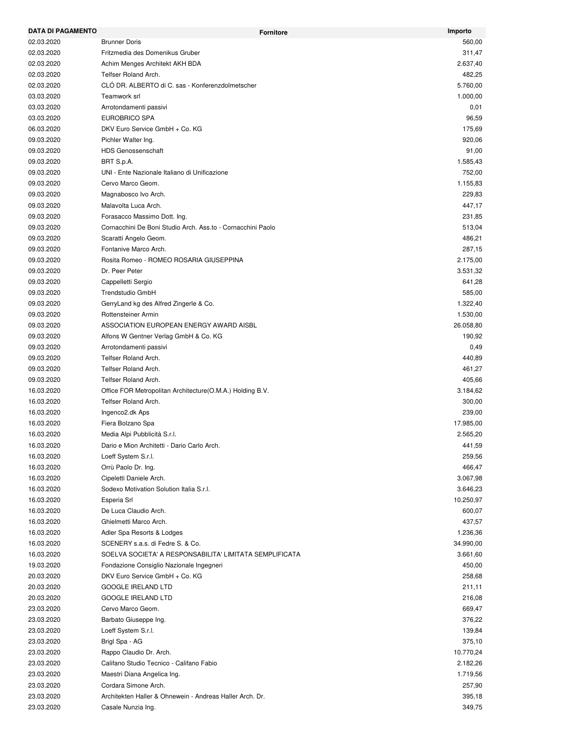| <b>DATA DI PAGAMENTO</b> | <b>Fornitore</b>                                            | Importo   |
|--------------------------|-------------------------------------------------------------|-----------|
| 02.03.2020               | <b>Brunner Doris</b>                                        | 560,00    |
| 02.03.2020               | Fritzmedia des Domenikus Gruber                             | 311,47    |
| 02.03.2020               | Achim Menges Architekt AKH BDA                              | 2.637,40  |
| 02.03.2020               | Telfser Roland Arch.                                        | 482,25    |
| 02.03.2020               | CLO DR. ALBERTO di C. sas - Konferenzdolmetscher            | 5.760,00  |
| 03.03.2020               | Teamwork srl                                                | 1.000,00  |
| 03.03.2020               | Arrotondamenti passivi                                      | 0,01      |
| 03.03.2020               | <b>EUROBRICO SPA</b>                                        | 96,59     |
| 06.03.2020               | DKV Euro Service GmbH + Co. KG                              | 175,69    |
| 09.03.2020               | Pichler Walter Ing.                                         | 920,06    |
| 09.03.2020               | <b>HDS Genossenschaft</b>                                   | 91,00     |
| 09.03.2020               | BRT S.p.A.                                                  | 1.585,43  |
| 09.03.2020               | UNI - Ente Nazionale Italiano di Unificazione               | 752,00    |
| 09.03.2020               | Cervo Marco Geom.                                           | 1.155,83  |
| 09.03.2020               | Magnabosco Ivo Arch.                                        | 229,83    |
| 09.03.2020               | Malavolta Luca Arch.                                        | 447,17    |
| 09.03.2020               | Forasacco Massimo Dott. Ing.                                | 231,85    |
| 09.03.2020               | Cornacchini De Boni Studio Arch. Ass.to - Cornacchini Paolo | 513,04    |
| 09.03.2020               | Scaratti Angelo Geom.                                       | 486,21    |
| 09.03.2020               | Fontanive Marco Arch.                                       | 287,15    |
| 09.03.2020               | Rosita Romeo - ROMEO ROSARIA GIUSEPPINA                     | 2.175,00  |
| 09.03.2020               | Dr. Peer Peter                                              | 3.531,32  |
| 09.03.2020               | Cappelletti Sergio                                          | 641,28    |
| 09.03.2020               | Trendstudio GmbH                                            | 585,00    |
| 09.03.2020               | GerryLand kg des Alfred Zingerle & Co.                      | 1.322,40  |
| 09.03.2020               | Rottensteiner Armin                                         | 1.530,00  |
| 09.03.2020               | ASSOCIATION EUROPEAN ENERGY AWARD AISBL                     | 26.058,80 |
| 09.03.2020               | Alfons W Gentner Verlag GmbH & Co. KG                       | 190,92    |
| 09.03.2020               | Arrotondamenti passivi                                      | 0,49      |
| 09.03.2020               | Telfser Roland Arch.                                        | 440,89    |
| 09.03.2020               | Telfser Roland Arch.                                        | 461,27    |
| 09.03.2020               | Telfser Roland Arch.                                        | 405,66    |
| 16.03.2020               | Office FOR Metropolitan Architecture (O.M.A.) Holding B.V.  | 3.184,62  |
| 16.03.2020               | Telfser Roland Arch.                                        | 300,00    |
| 16.03.2020               | Ingenco2.dk Aps                                             | 239,00    |
| 16.03.2020               |                                                             | 17.985,00 |
| 16.03.2020               | Fiera Bolzano Spa                                           | 2.565,20  |
|                          | Media Alpi Pubblicità S.r.l.                                |           |
| 16.03.2020               | Dario e Mion Architetti - Dario Carlo Arch.                 | 441,59    |
| 16.03.2020               | Loeff System S.r.l.                                         | 259,56    |
| 16.03.2020               | Orrù Paolo Dr. Ing.                                         | 466,47    |
| 16.03.2020               | Cipeletti Daniele Arch.                                     | 3.067,98  |
| 16.03.2020               | Sodexo Motivation Solution Italia S.r.l.                    | 3.646,23  |
| 16.03.2020               | Esperia Srl                                                 | 10.250,97 |
| 16.03.2020               | De Luca Claudio Arch.                                       | 600,07    |
| 16.03.2020               | Ghielmetti Marco Arch.                                      | 437,57    |
| 16.03.2020               | Adler Spa Resorts & Lodges                                  | 1.236,36  |
| 16.03.2020               | SCENERY s.a.s. di Fedre S. & Co.                            | 34.990,00 |
| 16.03.2020               | SOELVA SOCIETA' A RESPONSABILITA' LIMITATA SEMPLIFICATA     | 3.661,60  |
| 19.03.2020               | Fondazione Consiglio Nazionale Ingegneri                    | 450,00    |
| 20.03.2020               | DKV Euro Service GmbH + Co. KG                              | 258,68    |
| 20.03.2020               | <b>GOOGLE IRELAND LTD</b>                                   | 211,11    |
| 20.03.2020               | <b>GOOGLE IRELAND LTD</b>                                   | 216,08    |
| 23.03.2020               | Cervo Marco Geom.                                           | 669,47    |
| 23.03.2020               | Barbato Giuseppe Ing.                                       | 376,22    |
| 23.03.2020               | Loeff System S.r.l.                                         | 139,84    |
| 23.03.2020               | Brigl Spa - AG                                              | 375,10    |
| 23.03.2020               | Rappo Claudio Dr. Arch.                                     | 10.770,24 |
| 23.03.2020               | Califano Studio Tecnico - Califano Fabio                    | 2.182,26  |
| 23.03.2020               | Maestri Diana Angelica Ing.                                 | 1.719,56  |
| 23.03.2020               | Cordara Simone Arch.                                        | 257,90    |
| 23.03.2020               | Architekten Haller & Ohnewein - Andreas Haller Arch. Dr.    | 395,18    |
| 23.03.2020               | Casale Nunzia Ing.                                          | 349,75    |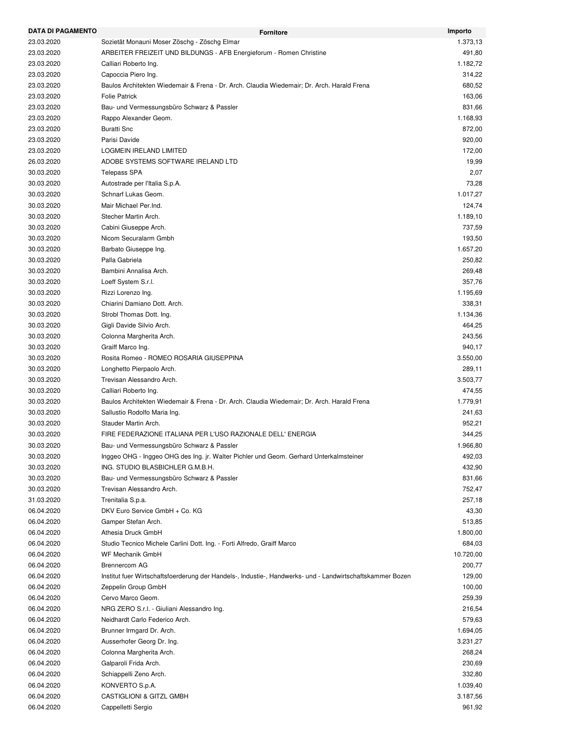| <b>DATA DI PAGAMENTO</b> | <b>Fornitore</b>                                                                                          | Importo   |
|--------------------------|-----------------------------------------------------------------------------------------------------------|-----------|
| 23.03.2020               | Sozietät Monauni Moser Zöschg - Zöschg Elmar                                                              | 1.373,13  |
| 23.03.2020               | ARBEITER FREIZEIT UND BILDUNGS - AFB Energieforum - Romen Christine                                       | 491,80    |
| 23.03.2020               | Calliari Roberto Ing.                                                                                     | 1.182,72  |
| 23.03.2020               | Capoccia Piero Ing.                                                                                       | 314,22    |
| 23.03.2020               | Baulos Architekten Wiedemair & Frena - Dr. Arch. Claudia Wiedemair; Dr. Arch. Harald Frena                | 680,52    |
| 23.03.2020               | <b>Folie Patrick</b>                                                                                      | 163,06    |
| 23.03.2020               | Bau- und Vermessungsbüro Schwarz & Passler                                                                | 831,66    |
| 23.03.2020               | Rappo Alexander Geom.                                                                                     | 1.168,93  |
| 23.03.2020               | <b>Buratti Snc</b>                                                                                        | 872,00    |
| 23.03.2020               | Parisi Davide                                                                                             | 920,00    |
| 23.03.2020               | LOGMEIN IRELAND LIMITED                                                                                   | 172,00    |
| 26.03.2020               | ADOBE SYSTEMS SOFTWARE IRELAND LTD                                                                        | 19,99     |
| 30.03.2020               | Telepass SPA                                                                                              | 2,07      |
| 30.03.2020               | Autostrade per l'Italia S.p.A.                                                                            | 73,28     |
| 30.03.2020               | Schnarf Lukas Geom.                                                                                       | 1.017,27  |
| 30.03.2020               | Mair Michael Per.Ind.                                                                                     | 124,74    |
| 30.03.2020               | Stecher Martin Arch.                                                                                      | 1.189,10  |
| 30.03.2020               | Cabini Giuseppe Arch.                                                                                     | 737,59    |
| 30.03.2020               | Nicom Securalarm Gmbh                                                                                     | 193,50    |
| 30.03.2020               | Barbato Giuseppe Ing.                                                                                     | 1.657,20  |
| 30.03.2020               | Palla Gabriela                                                                                            | 250,82    |
|                          | Bambini Annalisa Arch.                                                                                    | 269,48    |
| 30.03.2020               |                                                                                                           |           |
| 30.03.2020               | Loeff System S.r.l.                                                                                       | 357,76    |
| 30.03.2020               | Rizzi Lorenzo Ing.                                                                                        | 1.195,69  |
| 30.03.2020               | Chiarini Damiano Dott. Arch.                                                                              | 338,31    |
| 30.03.2020               | Strobl Thomas Dott. Ing.                                                                                  | 1.134,36  |
| 30.03.2020               | Gigli Davide Silvio Arch.                                                                                 | 464,25    |
| 30.03.2020               | Colonna Margherita Arch.                                                                                  | 243,56    |
| 30.03.2020               | Graiff Marco Ing.                                                                                         | 940,17    |
| 30.03.2020               | Rosita Romeo - ROMEO ROSARIA GIUSEPPINA                                                                   | 3.550,00  |
| 30.03.2020               | Longhetto Pierpaolo Arch.                                                                                 | 289,11    |
| 30.03.2020               | Trevisan Alessandro Arch.                                                                                 | 3.503,77  |
| 30.03.2020               | Calliari Roberto Ing.                                                                                     | 474,55    |
| 30.03.2020               | Baulos Architekten Wiedemair & Frena - Dr. Arch. Claudia Wiedemair; Dr. Arch. Harald Frena                | 1.779,91  |
| 30.03.2020               | Sallustio Rodolfo Maria Ing.                                                                              | 241,63    |
| 30.03.2020               | Stauder Martin Arch.                                                                                      | 952,21    |
| 30.03.2020               | FIRE FEDERAZIONE ITALIANA PER L'USO RAZIONALE DELL' ENERGIA                                               | 344,25    |
| 30.03.2020               | Bau- und Vermessungsbüro Schwarz & Passler                                                                | 1.966,80  |
| 30.03.2020               | Inggeo OHG - Inggeo OHG des Ing. jr. Walter Pichler und Geom. Gerhard Unterkalmsteiner                    | 492,03    |
| 30.03.2020               | ING. STUDIO BLASBICHLER G.M.B.H.                                                                          | 432,90    |
| 30.03.2020               | Bau- und Vermessungsbüro Schwarz & Passler                                                                | 831,66    |
| 30.03.2020               | Trevisan Alessandro Arch.                                                                                 | 752,47    |
| 31.03.2020               | Trenitalia S.p.a.                                                                                         | 257,18    |
| 06.04.2020               | DKV Euro Service GmbH + Co. KG                                                                            | 43,30     |
| 06.04.2020               | Gamper Stefan Arch.                                                                                       | 513,85    |
| 06.04.2020               | Athesia Druck GmbH                                                                                        | 1.800,00  |
| 06.04.2020               | Studio Tecnico Michele Carlini Dott. Ing. - Forti Alfredo, Graiff Marco                                   | 684,03    |
| 06.04.2020               | <b>WF Mechanik GmbH</b>                                                                                   | 10.720,00 |
| 06.04.2020               | <b>Brennercom AG</b>                                                                                      | 200,77    |
| 06.04.2020               | Institut fuer Wirtschaftsfoerderung der Handels-, Industie-, Handwerks- und - Landwirtschaftskammer Bozen | 129,00    |
| 06.04.2020               | Zeppelin Group GmbH                                                                                       | 100,00    |
| 06.04.2020               | Cervo Marco Geom.                                                                                         | 259,39    |
| 06.04.2020               | NRG ZERO S.r.l. - Giuliani Alessandro Ing.                                                                | 216,54    |
| 06.04.2020               | Neidhardt Carlo Federico Arch.                                                                            | 579,63    |
| 06.04.2020               | Brunner Irmgard Dr. Arch.                                                                                 | 1.694,05  |
| 06.04.2020               | Ausserhofer Georg Dr. Ing.                                                                                | 3.231,27  |
| 06.04.2020               | Colonna Margherita Arch.                                                                                  | 268,24    |
| 06.04.2020               | Galparoli Frida Arch.                                                                                     | 230,69    |
| 06.04.2020               | Schiappelli Zeno Arch.                                                                                    | 332,80    |
| 06.04.2020               | KONVERTO S.p.A.                                                                                           | 1.039,40  |
| 06.04.2020               | CASTIGLIONI & GITZL GMBH                                                                                  | 3.187,56  |
| 06.04.2020               | Cappelletti Sergio                                                                                        | 961,92    |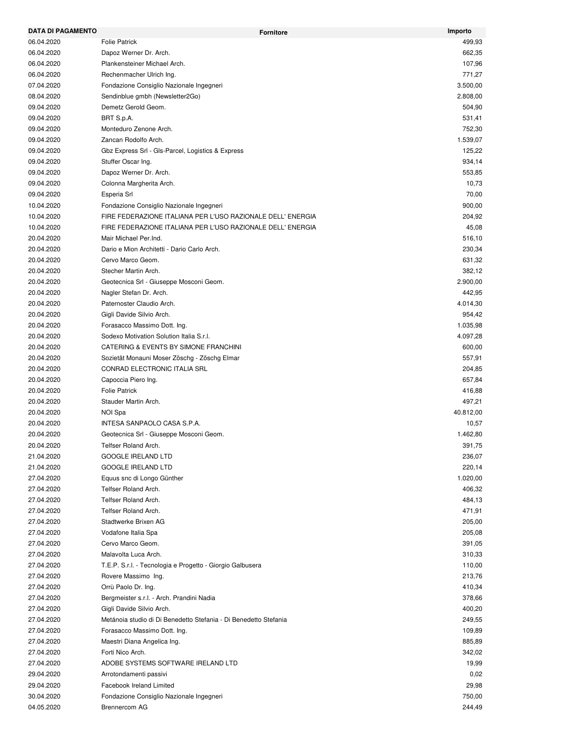| <b>DATA DI PAGAMENTO</b> | <b>Fornitore</b>                                                 | Importo   |
|--------------------------|------------------------------------------------------------------|-----------|
| 06.04.2020               | <b>Folie Patrick</b>                                             | 499,93    |
| 06.04.2020               | Dapoz Werner Dr. Arch.                                           | 662,35    |
| 06.04.2020               | Plankensteiner Michael Arch.                                     | 107,96    |
| 06.04.2020               | Rechenmacher Ulrich Ing.                                         | 771,27    |
| 07.04.2020               | Fondazione Consiglio Nazionale Ingegneri                         | 3.500,00  |
| 08.04.2020               | Sendinblue gmbh (Newsletter2Go)                                  | 2.808,00  |
| 09.04.2020               | Demetz Gerold Geom.                                              | 504,90    |
| 09.04.2020               | BRT S.p.A.                                                       | 531,41    |
| 09.04.2020               | Monteduro Zenone Arch.                                           | 752,30    |
| 09.04.2020               | Zancan Rodolfo Arch.                                             | 1.539,07  |
| 09.04.2020               | Gbz Express Srl - Gls-Parcel, Logistics & Express                | 125,22    |
| 09.04.2020               | Stuffer Oscar Ing.                                               | 934,14    |
| 09.04.2020               | Dapoz Werner Dr. Arch.                                           | 553,85    |
| 09.04.2020               | Colonna Margherita Arch.                                         | 10,73     |
| 09.04.2020               | Esperia Srl                                                      | 70,00     |
| 10.04.2020               | Fondazione Consiglio Nazionale Ingegneri                         | 900,00    |
| 10.04.2020               | FIRE FEDERAZIONE ITALIANA PER L'USO RAZIONALE DELL' ENERGIA      | 204,92    |
| 10.04.2020               | FIRE FEDERAZIONE ITALIANA PER L'USO RAZIONALE DELL' ENERGIA      | 45,08     |
| 20.04.2020               | Mair Michael Per.Ind.                                            | 516,10    |
| 20.04.2020               | Dario e Mion Architetti - Dario Carlo Arch.                      | 230,34    |
| 20.04.2020               | Cervo Marco Geom.                                                | 631,32    |
| 20.04.2020               | Stecher Martin Arch.                                             | 382,12    |
| 20.04.2020               | Geotecnica Srl - Giuseppe Mosconi Geom.                          | 2.900,00  |
| 20.04.2020               | Nagler Stefan Dr. Arch.                                          | 442,95    |
| 20.04.2020               | Paternoster Claudio Arch.                                        | 4.014,30  |
| 20.04.2020               | Gigli Davide Silvio Arch.                                        | 954,42    |
| 20.04.2020               | Forasacco Massimo Dott. Ing.                                     | 1.035,98  |
| 20.04.2020               | Sodexo Motivation Solution Italia S.r.l.                         | 4.097,28  |
| 20.04.2020               | CATERING & EVENTS BY SIMONE FRANCHINI                            | 600,00    |
| 20.04.2020               | Sozietät Monauni Moser Zöschg - Zöschg Elmar                     | 557,91    |
| 20.04.2020               | CONRAD ELECTRONIC ITALIA SRL                                     | 204,85    |
| 20.04.2020               | Capoccia Piero Ing.                                              | 657,84    |
| 20.04.2020               | <b>Folie Patrick</b>                                             | 416,88    |
| 20.04.2020               | Stauder Martin Arch.                                             | 497,21    |
| 20.04.2020               | NOI Spa                                                          | 40.812,00 |
| 20.04.2020               | INTESA SANPAOLO CASA S.P.A.                                      | 10,57     |
| 20.04.2020               | Geotecnica Srl - Giuseppe Mosconi Geom.                          | 1.462,80  |
| 20.04.2020               | Telfser Roland Arch.                                             | 391,75    |
| 21.04.2020               | <b>GOOGLE IRELAND LTD</b>                                        | 236,07    |
| 21.04.2020               | <b>GOOGLE IRELAND LTD</b>                                        | 220,14    |
| 27.04.2020               | Equus snc di Longo Günther                                       | 1.020,00  |
| 27.04.2020               | Telfser Roland Arch.                                             | 406,32    |
|                          | Telfser Roland Arch.                                             |           |
| 27.04.2020<br>27.04.2020 | Telfser Roland Arch.                                             | 484,13    |
|                          |                                                                  | 471,91    |
| 27.04.2020               | Stadtwerke Brixen AG                                             | 205,00    |
| 27.04.2020               | Vodafone Italia Spa                                              | 205,08    |
| 27.04.2020               | Cervo Marco Geom.                                                | 391,05    |
| 27.04.2020               | Malavolta Luca Arch.                                             | 310,33    |
| 27.04.2020               | T.E.P. S.r.I. - Tecnologia e Progetto - Giorgio Galbusera        | 110,00    |
| 27.04.2020               | Rovere Massimo Ing.                                              | 213,76    |
| 27.04.2020               | Orrù Paolo Dr. Ing.                                              | 410,34    |
| 27.04.2020               | Bergmeister s.r.l. - Arch. Prandini Nadia                        | 378,66    |
| 27.04.2020               | Gigli Davide Silvio Arch.                                        | 400,20    |
| 27.04.2020               | Metánoia studio di Di Benedetto Stefania - Di Benedetto Stefania | 249,55    |
| 27.04.2020               | Forasacco Massimo Dott. Ing.                                     | 109,89    |
| 27.04.2020               | Maestri Diana Angelica Ing.                                      | 885,89    |
| 27.04.2020               | Forti Nico Arch.                                                 | 342,02    |
| 27.04.2020               | ADOBE SYSTEMS SOFTWARE IRELAND LTD                               | 19,99     |
| 29.04.2020               | Arrotondamenti passivi                                           | 0,02      |
| 29.04.2020               | <b>Facebook Ireland Limited</b>                                  | 29,98     |
| 30.04.2020               | Fondazione Consiglio Nazionale Ingegneri                         | 750,00    |
| 04.05.2020               | Brennercom AG                                                    | 244,49    |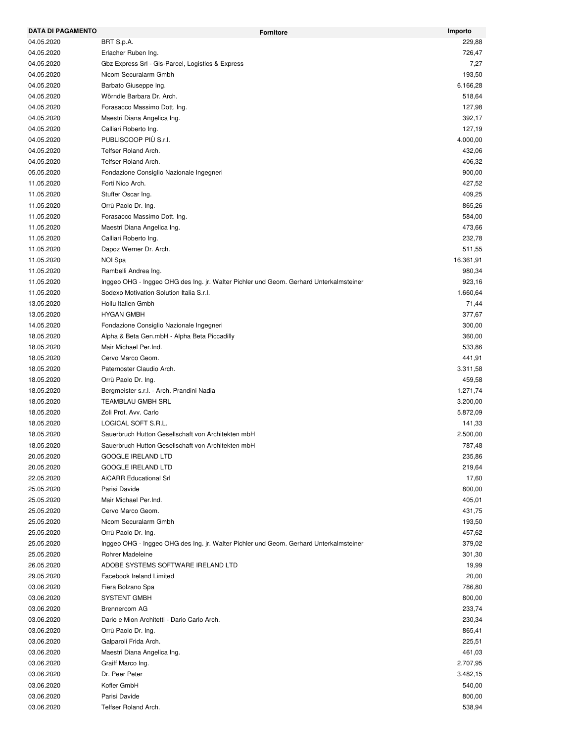| <b>DATA DI PAGAMENTO</b> | <b>Fornitore</b>                                                                       | Importo   |
|--------------------------|----------------------------------------------------------------------------------------|-----------|
| 04.05.2020               | BRT S.p.A.                                                                             | 229,88    |
| 04.05.2020               | Erlacher Ruben Ing.                                                                    | 726,47    |
| 04.05.2020               | Gbz Express Srl - Gls-Parcel, Logistics & Express                                      | 7,27      |
| 04.05.2020               | Nicom Securalarm Gmbh                                                                  | 193,50    |
| 04.05.2020               | Barbato Giuseppe Ing.                                                                  | 6.166,28  |
| 04.05.2020               | Wörndle Barbara Dr. Arch.                                                              | 518,64    |
| 04.05.2020               | Forasacco Massimo Dott. Ing.                                                           | 127,98    |
| 04.05.2020               | Maestri Diana Angelica Ing.                                                            | 392,17    |
| 04.05.2020               | Calliari Roberto Ing.                                                                  | 127,19    |
| 04.05.2020               | PUBLISCOOP PIÙ S.r.I.                                                                  | 4.000,00  |
| 04.05.2020               | Telfser Roland Arch.                                                                   | 432,06    |
| 04.05.2020               | Telfser Roland Arch.                                                                   | 406,32    |
| 05.05.2020               | Fondazione Consiglio Nazionale Ingegneri                                               | 900,00    |
| 11.05.2020               | Forti Nico Arch.                                                                       | 427,52    |
| 11.05.2020               | Stuffer Oscar Ing.                                                                     | 409,25    |
| 11.05.2020               | Orrù Paolo Dr. Ing.                                                                    | 865,26    |
| 11.05.2020               | Forasacco Massimo Dott. Ing.                                                           | 584,00    |
| 11.05.2020               | Maestri Diana Angelica Ing.                                                            | 473,66    |
| 11.05.2020               | Calliari Roberto Ing.                                                                  | 232,78    |
| 11.05.2020               | Dapoz Werner Dr. Arch.                                                                 | 511,55    |
| 11.05.2020               | NOI Spa                                                                                | 16.361,91 |
| 11.05.2020               | Rambelli Andrea Ing.                                                                   | 980,34    |
| 11.05.2020               | Inggeo OHG - Inggeo OHG des Ing. jr. Walter Pichler und Geom. Gerhard Unterkalmsteiner | 923,16    |
| 11.05.2020               | Sodexo Motivation Solution Italia S.r.l.                                               | 1.660,64  |
| 13.05.2020               | Hollu Italien Gmbh                                                                     | 71,44     |
| 13.05.2020               | <b>HYGAN GMBH</b>                                                                      | 377,67    |
| 14.05.2020               | Fondazione Consiglio Nazionale Ingegneri                                               | 300,00    |
| 18.05.2020               | Alpha & Beta Gen.mbH - Alpha Beta Piccadilly                                           | 360,00    |
| 18.05.2020               | Mair Michael Per.Ind.                                                                  | 533,86    |
| 18.05.2020               | Cervo Marco Geom.                                                                      | 441,91    |
| 18.05.2020               | Paternoster Claudio Arch.                                                              | 3.311,58  |
| 18.05.2020               | Orrù Paolo Dr. Ing.                                                                    | 459,58    |
| 18.05.2020               | Bergmeister s.r.l. - Arch. Prandini Nadia                                              | 1.271,74  |
|                          | <b>TEAMBLAU GMBH SRL</b>                                                               | 3.200,00  |
| 18.05.2020               |                                                                                        | 5.872,09  |
| 18.05.2020               | Zoli Prof. Avv. Carlo                                                                  |           |
| 18.05.2020               | LOGICAL SOFT S.R.L.                                                                    | 141,33    |
| 18.05.2020               | Sauerbruch Hutton Gesellschaft von Architekten mbH                                     | 2.500,00  |
| 18.05.2020               | Sauerbruch Hutton Gesellschaft von Architekten mbH                                     | 787.48    |
| 20.05.2020               | <b>GOOGLE IRELAND LTD</b>                                                              | 235,86    |
| 20.05.2020               | <b>GOOGLE IRELAND LTD</b>                                                              | 219,64    |
| 22.05.2020               | <b>AiCARR Educational Srl</b>                                                          | 17,60     |
| 25.05.2020               | Parisi Davide                                                                          | 800,00    |
| 25.05.2020               | Mair Michael Per.Ind.                                                                  | 405,01    |
| 25.05.2020               | Cervo Marco Geom.                                                                      | 431,75    |
| 25.05.2020               | Nicom Securalarm Gmbh                                                                  | 193,50    |
| 25.05.2020               | Orrù Paolo Dr. Ing.                                                                    | 457,62    |
| 25.05.2020               | Inggeo OHG - Inggeo OHG des Ing. jr. Walter Pichler und Geom. Gerhard Unterkalmsteiner | 379,02    |
| 25.05.2020               | Rohrer Madeleine                                                                       | 301,30    |
| 26.05.2020               | ADOBE SYSTEMS SOFTWARE IRELAND LTD                                                     | 19,99     |
| 29.05.2020               | Facebook Ireland Limited                                                               | 20,00     |
| 03.06.2020               | Fiera Bolzano Spa                                                                      | 786,80    |
| 03.06.2020               | <b>SYSTENT GMBH</b>                                                                    | 800,00    |
| 03.06.2020               | Brennercom AG                                                                          | 233,74    |
| 03.06.2020               | Dario e Mion Architetti - Dario Carlo Arch.                                            | 230,34    |
| 03.06.2020               | Orrù Paolo Dr. Ing.                                                                    | 865,41    |
| 03.06.2020               | Galparoli Frida Arch.                                                                  | 225,51    |
| 03.06.2020               | Maestri Diana Angelica Ing.                                                            | 461,03    |
| 03.06.2020               | Graiff Marco Ing.                                                                      | 2.707,95  |
| 03.06.2020               | Dr. Peer Peter                                                                         | 3.482,15  |
| 03.06.2020               | Kofler GmbH                                                                            | 540,00    |
| 03.06.2020               | Parisi Davide                                                                          | 800,00    |
| 03.06.2020               | Telfser Roland Arch.                                                                   | 538,94    |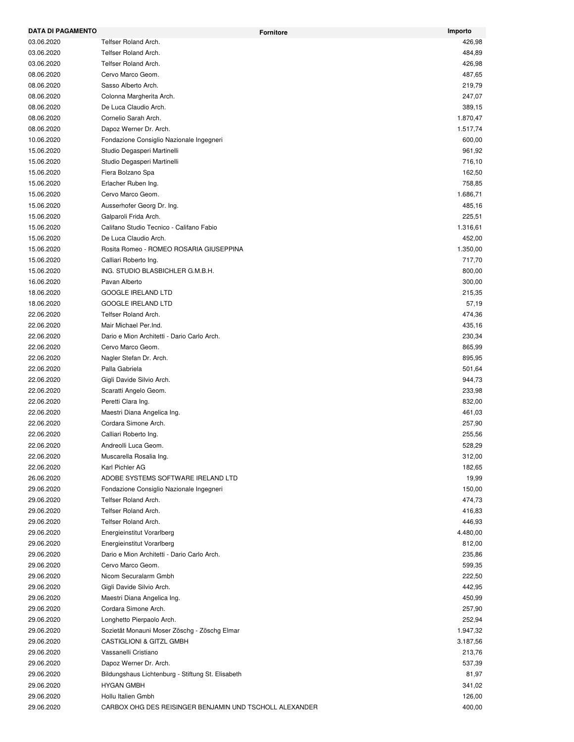| DATA DI PAGAMENTO |                                                         | Importo<br><b>Fornitore</b> |
|-------------------|---------------------------------------------------------|-----------------------------|
| 03.06.2020        | Telfser Roland Arch.                                    | 426,98                      |
| 03.06.2020        | Telfser Roland Arch.                                    | 484,89                      |
| 03.06.2020        | Telfser Roland Arch.                                    | 426,98                      |
| 08.06.2020        | Cervo Marco Geom.                                       | 487,65                      |
| 08.06.2020        | Sasso Alberto Arch.                                     | 219,79                      |
| 08.06.2020        | Colonna Margherita Arch.                                | 247,07                      |
| 08.06.2020        | De Luca Claudio Arch.                                   | 389,15                      |
| 08.06.2020        | Cornelio Sarah Arch.                                    | 1.870,47                    |
| 08.06.2020        | Dapoz Werner Dr. Arch.                                  | 1.517,74                    |
| 10.06.2020        | Fondazione Consiglio Nazionale Ingegneri                | 600,00                      |
| 15.06.2020        | Studio Degasperi Martinelli                             | 961,92                      |
| 15.06.2020        | Studio Degasperi Martinelli                             | 716,10                      |
| 15.06.2020        | Fiera Bolzano Spa                                       | 162,50                      |
| 15.06.2020        | Erlacher Ruben Ing.                                     | 758,85                      |
| 15.06.2020        | Cervo Marco Geom.                                       | 1.686,71                    |
| 15.06.2020        | Ausserhofer Georg Dr. Ing.                              | 485,16                      |
| 15.06.2020        | Galparoli Frida Arch.                                   | 225,51                      |
| 15.06.2020        | Califano Studio Tecnico - Califano Fabio                | 1.316,61                    |
| 15.06.2020        | De Luca Claudio Arch.                                   | 452,00                      |
| 15.06.2020        | Rosita Romeo - ROMEO ROSARIA GIUSEPPINA                 | 1.350,00                    |
| 15.06.2020        | Calliari Roberto Ing.                                   | 717,70                      |
| 15.06.2020        | ING. STUDIO BLASBICHLER G.M.B.H.                        | 800,00                      |
| 16.06.2020        | Pavan Alberto                                           | 300,00                      |
| 18.06.2020        | <b>GOOGLE IRELAND LTD</b>                               | 215,35                      |
| 18.06.2020        | <b>GOOGLE IRELAND LTD</b>                               | 57,19                       |
| 22.06.2020        | Telfser Roland Arch.                                    | 474,36                      |
| 22.06.2020        | Mair Michael Per.Ind.                                   | 435,16                      |
| 22.06.2020        | Dario e Mion Architetti - Dario Carlo Arch.             | 230,34                      |
| 22.06.2020        | Cervo Marco Geom.                                       | 865,99                      |
| 22.06.2020        | Nagler Stefan Dr. Arch.                                 | 895,95                      |
| 22.06.2020        | Palla Gabriela                                          | 501,64                      |
| 22.06.2020        | Gigli Davide Silvio Arch.                               | 944,73                      |
| 22.06.2020        | Scaratti Angelo Geom.                                   | 233,98                      |
| 22.06.2020        | Peretti Clara Ing.                                      | 832,00                      |
| 22.06.2020        | Maestri Diana Angelica Ing.                             | 461,03                      |
| 22.06.2020        | Cordara Simone Arch.                                    | 257,90                      |
| 22.06.2020        | Calliari Roberto Ing.                                   | 255,56                      |
| 22.06.2020        | Andreolli Luca Geom.                                    | 528,29                      |
| 22.06.2020        | Muscarella Rosalia Ing.                                 | 312,00                      |
| 22.06.2020        | Karl Pichler AG                                         | 182,65                      |
| 26.06.2020        | ADOBE SYSTEMS SOFTWARE IRELAND LTD                      | 19,99                       |
| 29.06.2020        | Fondazione Consiglio Nazionale Ingegneri                | 150,00                      |
| 29.06.2020        | Telfser Roland Arch.                                    | 474,73                      |
| 29.06.2020        | Telfser Roland Arch.                                    | 416,83                      |
| 29.06.2020        | Telfser Roland Arch.                                    | 446,93                      |
| 29.06.2020        | Energieinstitut Vorarlberg                              | 4.480,00                    |
| 29.06.2020        | Energieinstitut Vorarlberg                              | 812,00                      |
| 29.06.2020        | Dario e Mion Architetti - Dario Carlo Arch.             | 235,86                      |
| 29.06.2020        | Cervo Marco Geom.                                       | 599,35                      |
| 29.06.2020        | Nicom Securalarm Gmbh                                   | 222,50                      |
| 29.06.2020        | Gigli Davide Silvio Arch.                               | 442,95                      |
| 29.06.2020        | Maestri Diana Angelica Ing.                             | 450,99                      |
| 29.06.2020        | Cordara Simone Arch.                                    | 257,90                      |
| 29.06.2020        | Longhetto Pierpaolo Arch.                               | 252,94                      |
| 29.06.2020        | Sozietät Monauni Moser Zöschg - Zöschg Elmar            | 1.947,32                    |
| 29.06.2020        | CASTIGLIONI & GITZL GMBH                                | 3.187,56                    |
| 29.06.2020        | Vassanelli Cristiano                                    | 213,76                      |
| 29.06.2020        | Dapoz Werner Dr. Arch.                                  | 537,39                      |
| 29.06.2020        | Bildungshaus Lichtenburg - Stiftung St. Elisabeth       | 81,97                       |
| 29.06.2020        | <b>HYGAN GMBH</b>                                       | 341,02                      |
| 29.06.2020        | Hollu Italien Gmbh                                      | 126,00                      |
| 29.06.2020        | CARBOX OHG DES REISINGER BENJAMIN UND TSCHOLL ALEXANDER | 400,00                      |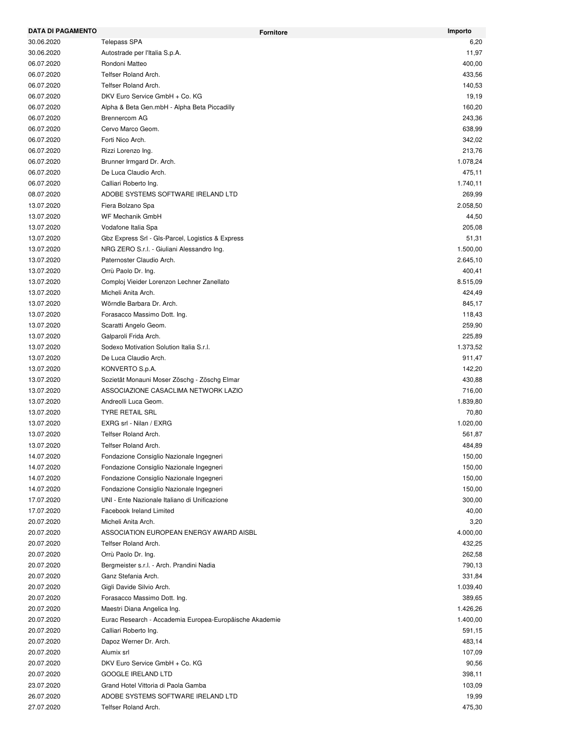| DATA DI PAGAMENTO |                                                         | Importo<br><b>Fornitore</b> |
|-------------------|---------------------------------------------------------|-----------------------------|
| 30.06.2020        | Telepass SPA                                            | 6,20                        |
| 30.06.2020        | Autostrade per l'Italia S.p.A.                          | 11,97                       |
| 06.07.2020        | Rondoni Matteo                                          | 400,00                      |
| 06.07.2020        | Telfser Roland Arch.                                    | 433,56                      |
| 06.07.2020        | Telfser Roland Arch.                                    | 140,53                      |
| 06.07.2020        | DKV Euro Service GmbH + Co. KG                          | 19,19                       |
| 06.07.2020        | Alpha & Beta Gen.mbH - Alpha Beta Piccadilly            | 160,20                      |
| 06.07.2020        | <b>Brennercom AG</b>                                    | 243,36                      |
| 06.07.2020        | Cervo Marco Geom.                                       | 638,99                      |
| 06.07.2020        | Forti Nico Arch.                                        | 342,02                      |
| 06.07.2020        | Rizzi Lorenzo Ing.                                      | 213,76                      |
| 06.07.2020        | Brunner Irmgard Dr. Arch.                               | 1.078,24                    |
| 06.07.2020        | De Luca Claudio Arch.                                   | 475,11                      |
| 06.07.2020        | Calliari Roberto Ing.                                   | 1.740,11                    |
| 08.07.2020        | ADOBE SYSTEMS SOFTWARE IRELAND LTD                      | 269,99                      |
| 13.07.2020        | Fiera Bolzano Spa                                       | 2.058,50                    |
| 13.07.2020        | WF Mechanik GmbH                                        | 44,50                       |
| 13.07.2020        | Vodafone Italia Spa                                     | 205,08                      |
| 13.07.2020        | Gbz Express Srl - Gls-Parcel, Logistics & Express       | 51,31                       |
| 13.07.2020        | NRG ZERO S.r.l. - Giuliani Alessandro Ing.              | 1.500,00                    |
| 13.07.2020        | Paternoster Claudio Arch.                               | 2.645,10                    |
| 13.07.2020        | Orrù Paolo Dr. Ing.                                     | 400,41                      |
| 13.07.2020        | Comploj Vieider Lorenzon Lechner Zanellato              | 8.515,09                    |
| 13.07.2020        | Micheli Anita Arch.                                     | 424,49                      |
| 13.07.2020        | Wörndle Barbara Dr. Arch.                               | 845,17                      |
| 13.07.2020        | Forasacco Massimo Dott. Ing.                            | 118,43                      |
| 13.07.2020        | Scaratti Angelo Geom.                                   | 259,90                      |
| 13.07.2020        | Galparoli Frida Arch.                                   | 225,89                      |
| 13.07.2020        | Sodexo Motivation Solution Italia S.r.l.                | 1.373,52                    |
| 13.07.2020        | De Luca Claudio Arch.                                   | 911,47                      |
| 13.07.2020        | KONVERTO S.p.A.                                         | 142,20                      |
| 13.07.2020        | Sozietät Monauni Moser Zöschg - Zöschg Elmar            | 430,88                      |
| 13.07.2020        | ASSOCIAZIONE CASACLIMA NETWORK LAZIO                    | 716,00                      |
| 13.07.2020        | Andreolli Luca Geom.                                    | 1.839,80                    |
| 13.07.2020        | <b>TYRE RETAIL SRL</b>                                  | 70,80                       |
| 13.07.2020        | EXRG srl - Nilan / EXRG                                 | 1.020,00                    |
| 13.07.2020        | Telfser Roland Arch.                                    | 561,87                      |
| 13.07.2020        | Telfser Roland Arch.                                    | 484,89                      |
| 14.07.2020        | Fondazione Consiglio Nazionale Ingegneri                | 150,00                      |
| 14.07.2020        | Fondazione Consiglio Nazionale Ingegneri                | 150,00                      |
| 14.07.2020        | Fondazione Consiglio Nazionale Ingegneri                | 150,00                      |
| 14.07.2020        | Fondazione Consiglio Nazionale Ingegneri                | 150,00                      |
| 17.07.2020        | UNI - Ente Nazionale Italiano di Unificazione           | 300,00                      |
| 17.07.2020        | Facebook Ireland Limited                                | 40,00                       |
| 20.07.2020        | Micheli Anita Arch.                                     | 3,20                        |
| 20.07.2020        | ASSOCIATION EUROPEAN ENERGY AWARD AISBL                 | 4.000,00                    |
| 20.07.2020        | Telfser Roland Arch.                                    | 432,25                      |
| 20.07.2020        | Orrù Paolo Dr. Ing.                                     | 262,58                      |
| 20.07.2020        | Bergmeister s.r.l. - Arch. Prandini Nadia               | 790,13                      |
| 20.07.2020        | Ganz Stefania Arch.                                     | 331,84                      |
| 20.07.2020        | Gigli Davide Silvio Arch.                               | 1.039,40                    |
| 20.07.2020        | Forasacco Massimo Dott. Ing.                            | 389,65                      |
| 20.07.2020        | Maestri Diana Angelica Ing.                             | 1.426,26                    |
|                   |                                                         |                             |
| 20.07.2020        | Eurac Research - Accademia Europea-Europäische Akademie | 1.400,00                    |
| 20.07.2020        | Calliari Roberto Ing.                                   | 591,15                      |
| 20.07.2020        | Dapoz Werner Dr. Arch.                                  | 483,14                      |
| 20.07.2020        | Alumix srl                                              | 107,09                      |
| 20.07.2020        | DKV Euro Service GmbH + Co. KG                          | 90,56                       |
| 20.07.2020        | <b>GOOGLE IRELAND LTD</b>                               | 398,11                      |
| 23.07.2020        | Grand Hotel Vittoria di Paola Gamba                     | 103,09                      |
| 26.07.2020        | ADOBE SYSTEMS SOFTWARE IRELAND LTD                      | 19,99                       |
| 27.07.2020        | Telfser Roland Arch.                                    | 475,30                      |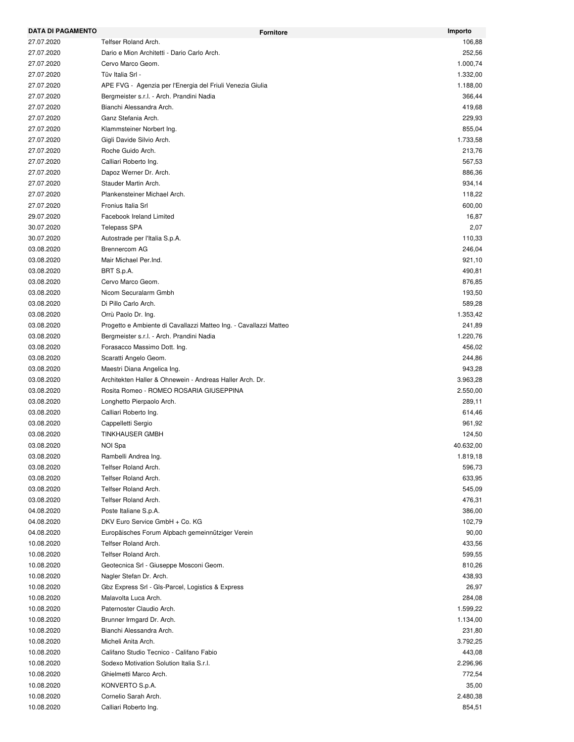| <b>DATA DI PAGAMENTO</b> | <b>Fornitore</b>                                                  | Importo   |
|--------------------------|-------------------------------------------------------------------|-----------|
| 27.07.2020               | Telfser Roland Arch.                                              | 106,88    |
| 27.07.2020               | Dario e Mion Architetti - Dario Carlo Arch.                       | 252,56    |
| 27.07.2020               | Cervo Marco Geom.                                                 | 1.000,74  |
| 27.07.2020               | Tüv Italia Srl -                                                  | 1.332,00  |
| 27.07.2020               | APE FVG - Agenzia per l'Energia del Friuli Venezia Giulia         | 1.188,00  |
| 27.07.2020               | Bergmeister s.r.l. - Arch. Prandini Nadia                         | 366,44    |
| 27.07.2020               | Bianchi Alessandra Arch.                                          | 419,68    |
| 27.07.2020               | Ganz Stefania Arch.                                               | 229,93    |
| 27.07.2020               | Klammsteiner Norbert Ing.                                         | 855,04    |
| 27.07.2020               | Gigli Davide Silvio Arch.                                         | 1.733,58  |
| 27.07.2020               | Roche Guido Arch.                                                 | 213,76    |
| 27.07.2020               | Calliari Roberto Ing.                                             | 567,53    |
| 27.07.2020               | Dapoz Werner Dr. Arch.                                            | 886,36    |
| 27.07.2020               | Stauder Martin Arch.                                              | 934,14    |
| 27.07.2020               | Plankensteiner Michael Arch.                                      | 118,22    |
| 27.07.2020               | Fronius Italia Srl                                                | 600,00    |
| 29.07.2020               | Facebook Ireland Limited                                          | 16,87     |
| 30.07.2020               | <b>Telepass SPA</b>                                               | 2,07      |
| 30.07.2020               | Autostrade per l'Italia S.p.A.                                    | 110,33    |
| 03.08.2020               | <b>Brennercom AG</b>                                              | 246,04    |
| 03.08.2020               | Mair Michael Per.Ind.                                             | 921,10    |
| 03.08.2020               | BRT S.p.A.                                                        | 490,81    |
| 03.08.2020               | Cervo Marco Geom.                                                 | 876,85    |
| 03.08.2020               | Nicom Securalarm Gmbh                                             | 193,50    |
| 03.08.2020               | Di Pillo Carlo Arch.                                              | 589,28    |
| 03.08.2020               | Orrù Paolo Dr. Ing.                                               | 1.353,42  |
| 03.08.2020               | Progetto e Ambiente di Cavallazzi Matteo Ing. - Cavallazzi Matteo | 241,89    |
| 03.08.2020               | Bergmeister s.r.l. - Arch. Prandini Nadia                         | 1.220,76  |
| 03.08.2020               | Forasacco Massimo Dott. Ing.                                      | 456,02    |
| 03.08.2020               | Scaratti Angelo Geom.                                             | 244,86    |
| 03.08.2020               | Maestri Diana Angelica Ing.                                       | 943,28    |
| 03.08.2020               | Architekten Haller & Ohnewein - Andreas Haller Arch. Dr.          | 3.963,28  |
| 03.08.2020               | Rosita Romeo - ROMEO ROSARIA GIUSEPPINA                           | 2.550,00  |
| 03.08.2020               | Longhetto Pierpaolo Arch.                                         | 289,11    |
| 03.08.2020               | Calliari Roberto Ing.                                             | 614,46    |
| 03.08.2020               | Cappelletti Sergio                                                | 961,92    |
| 03.08.2020               | <b>TINKHAUSER GMBH</b>                                            | 124,50    |
| 03.08.2020               | NOI Spa                                                           | 40.632,00 |
| 03.08.2020               | Rambelli Andrea Ing.                                              | 1.819,18  |
| 03.08.2020               | Telfser Roland Arch.                                              | 596,73    |
| 03.08.2020               | Telfser Roland Arch.                                              | 633,95    |
| 03.08.2020               | Telfser Roland Arch.                                              | 545,09    |
| 03.08.2020               | Telfser Roland Arch.                                              | 476,31    |
| 04.08.2020               | Poste Italiane S.p.A.                                             | 386,00    |
| 04.08.2020               | DKV Euro Service GmbH + Co. KG                                    | 102,79    |
| 04.08.2020               | Europäisches Forum Alpbach gemeinnütziger Verein                  | 90,00     |
| 10.08.2020               | Telfser Roland Arch.                                              | 433,56    |
| 10.08.2020               | Telfser Roland Arch.                                              | 599,55    |
| 10.08.2020               | Geotecnica Srl - Giuseppe Mosconi Geom.                           | 810,26    |
| 10.08.2020               | Nagler Stefan Dr. Arch.                                           | 438,93    |
| 10.08.2020               | Gbz Express Srl - Gls-Parcel, Logistics & Express                 | 26,97     |
| 10.08.2020               | Malavolta Luca Arch.                                              | 284,08    |
| 10.08.2020               | Paternoster Claudio Arch.                                         | 1.599,22  |
| 10.08.2020               | Brunner Irmgard Dr. Arch.                                         | 1.134,00  |
| 10.08.2020               | Bianchi Alessandra Arch.                                          | 231,80    |
| 10.08.2020               | Micheli Anita Arch.                                               | 3.792,25  |
| 10.08.2020               | Califano Studio Tecnico - Califano Fabio                          | 443,08    |
|                          | Sodexo Motivation Solution Italia S.r.l.                          | 2.296,96  |
| 10.08.2020               |                                                                   |           |
| 10.08.2020               | Ghielmetti Marco Arch.                                            | 772,54    |
| 10.08.2020               | KONVERTO S.p.A.                                                   | 35,00     |
| 10.08.2020               | Cornelio Sarah Arch.                                              | 2.480,38  |
| 10.08.2020               | Calliari Roberto Ing.                                             | 854,51    |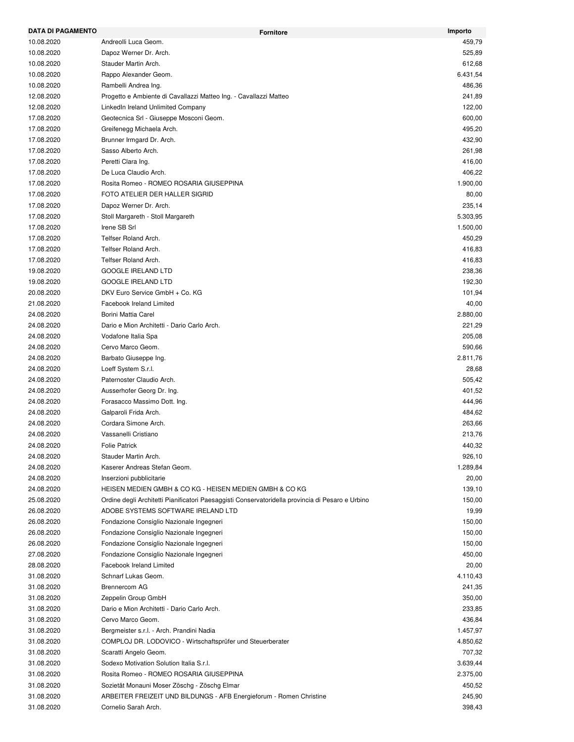| <b>DATA DI PAGAMENTO</b> | <b>Fornitore</b>                                                                                 | Importo  |
|--------------------------|--------------------------------------------------------------------------------------------------|----------|
| 10.08.2020               | Andreolli Luca Geom.                                                                             | 459,79   |
| 10.08.2020               | Dapoz Werner Dr. Arch.                                                                           | 525,89   |
| 10.08.2020               | Stauder Martin Arch.                                                                             | 612,68   |
| 10.08.2020               | Rappo Alexander Geom.                                                                            | 6.431,54 |
| 10.08.2020               | Rambelli Andrea Ing.                                                                             | 486,36   |
| 12.08.2020               | Progetto e Ambiente di Cavallazzi Matteo Ing. - Cavallazzi Matteo                                | 241,89   |
| 12.08.2020               | LinkedIn Ireland Unlimited Company                                                               | 122,00   |
| 17.08.2020               | Geotecnica Srl - Giuseppe Mosconi Geom.                                                          | 600,00   |
| 17.08.2020               | Greifenegg Michaela Arch.                                                                        | 495,20   |
| 17.08.2020               | Brunner Irmgard Dr. Arch.                                                                        | 432,90   |
| 17.08.2020               | Sasso Alberto Arch.                                                                              | 261,98   |
| 17.08.2020               | Peretti Clara Ing.                                                                               | 416,00   |
| 17.08.2020               | De Luca Claudio Arch.                                                                            | 406,22   |
| 17.08.2020               | Rosita Romeo - ROMEO ROSARIA GIUSEPPINA                                                          | 1.900,00 |
| 17.08.2020               | FOTO ATELIER DER HALLER SIGRID                                                                   | 80,00    |
| 17.08.2020               | Dapoz Werner Dr. Arch.                                                                           | 235,14   |
| 17.08.2020               | Stoll Margareth - Stoll Margareth                                                                | 5.303,95 |
| 17.08.2020               | Irene SB Srl                                                                                     | 1.500,00 |
| 17.08.2020               | Telfser Roland Arch.                                                                             | 450,29   |
| 17.08.2020               | Telfser Roland Arch.                                                                             | 416,83   |
| 17.08.2020               | Telfser Roland Arch.                                                                             | 416,83   |
| 19.08.2020               | <b>GOOGLE IRELAND LTD</b>                                                                        | 238,36   |
| 19.08.2020               | <b>GOOGLE IRELAND LTD</b>                                                                        | 192,30   |
| 20.08.2020               | DKV Euro Service GmbH + Co. KG                                                                   | 101,94   |
| 21.08.2020               | <b>Facebook Ireland Limited</b>                                                                  | 40,00    |
| 24.08.2020               | Borini Mattia Carel                                                                              | 2.880,00 |
| 24.08.2020               | Dario e Mion Architetti - Dario Carlo Arch.                                                      | 221,29   |
| 24.08.2020               | Vodafone Italia Spa                                                                              | 205,08   |
| 24.08.2020               | Cervo Marco Geom.                                                                                | 590,66   |
| 24.08.2020               | Barbato Giuseppe Ing.                                                                            | 2.811,76 |
| 24.08.2020               | Loeff System S.r.l.                                                                              | 28,68    |
| 24.08.2020               | Paternoster Claudio Arch.                                                                        | 505,42   |
| 24.08.2020               | Ausserhofer Georg Dr. Ing.                                                                       | 401,52   |
| 24.08.2020               | Forasacco Massimo Dott. Ing.                                                                     | 444,96   |
|                          |                                                                                                  |          |
| 24.08.2020               | Galparoli Frida Arch.<br>Cordara Simone Arch.                                                    | 484,62   |
| 24.08.2020               |                                                                                                  | 263,66   |
| 24.08.2020               | Vassanelli Cristiano                                                                             | 213,76   |
| 24.08.2020               | <b>Folie Patrick</b>                                                                             | 440,32   |
| 24.08.2020               | Stauder Martin Arch.                                                                             | 926,10   |
| 24.08.2020               | Kaserer Andreas Stefan Geom.                                                                     | 1.289,84 |
| 24.08.2020               | Inserzioni pubblicitarie                                                                         | 20,00    |
| 24.08.2020               | HEISEN MEDIEN GMBH & CO KG - HEISEN MEDIEN GMBH & CO KG                                          | 139,10   |
| 25.08.2020               | Ordine degli Architetti Pianificatori Paesaggisti Conservatoridella provincia di Pesaro e Urbino | 150,00   |
| 26.08.2020               | ADOBE SYSTEMS SOFTWARE IRELAND LTD                                                               | 19,99    |
| 26.08.2020               | Fondazione Consiglio Nazionale Ingegneri                                                         | 150,00   |
| 26.08.2020               | Fondazione Consiglio Nazionale Ingegneri                                                         | 150,00   |
| 26.08.2020               | Fondazione Consiglio Nazionale Ingegneri                                                         | 150,00   |
| 27.08.2020               | Fondazione Consiglio Nazionale Ingegneri                                                         | 450,00   |
| 28.08.2020               | Facebook Ireland Limited                                                                         | 20,00    |
| 31.08.2020               | Schnarf Lukas Geom.                                                                              | 4.110,43 |
| 31.08.2020               | <b>Brennercom AG</b>                                                                             | 241,35   |
| 31.08.2020               | Zeppelin Group GmbH                                                                              | 350,00   |
| 31.08.2020               | Dario e Mion Architetti - Dario Carlo Arch.                                                      | 233,85   |
| 31.08.2020               | Cervo Marco Geom.                                                                                | 436,84   |
| 31.08.2020               | Bergmeister s.r.l. - Arch. Prandini Nadia                                                        | 1.457,97 |
| 31.08.2020               | COMPLOJ DR. LODOVICO - Wirtschaftsprüfer und Steuerberater                                       | 4.850,62 |
| 31.08.2020               | Scaratti Angelo Geom.                                                                            | 707,32   |
| 31.08.2020               | Sodexo Motivation Solution Italia S.r.l.                                                         | 3.639,44 |
| 31.08.2020               | Rosita Romeo - ROMEO ROSARIA GIUSEPPINA                                                          | 2.375,00 |
| 31.08.2020               | Sozietät Monauni Moser Zöschg - Zöschg Elmar                                                     | 450,52   |
| 31.08.2020               | ARBEITER FREIZEIT UND BILDUNGS - AFB Energieforum - Romen Christine                              | 245,90   |
| 31.08.2020               | Cornelio Sarah Arch.                                                                             | 398,43   |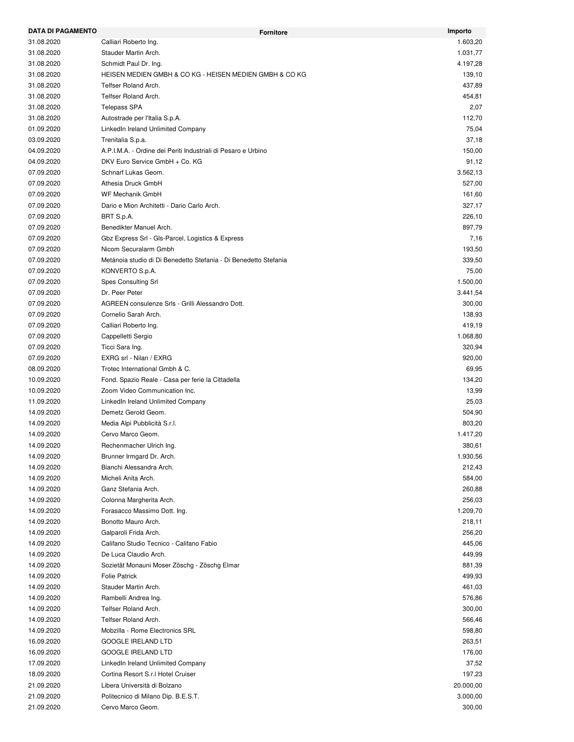| <b>DATA DI PAGAMENTO</b> | <b>Fornitore</b>                                                 | Importo   |
|--------------------------|------------------------------------------------------------------|-----------|
| 31.08.2020               | Calliari Roberto Ing.                                            | 1.603,20  |
| 31.08.2020               | Stauder Martin Arch.                                             | 1.031,77  |
| 31.08.2020               | Schmidt Paul Dr. Ing.                                            | 4.197,28  |
| 31.08.2020               | HEISEN MEDIEN GMBH & CO KG - HEISEN MEDIEN GMBH & CO KG          | 139,10    |
| 31.08.2020               | Telfser Roland Arch.                                             | 437,89    |
| 31.08.2020               | Telfser Roland Arch.                                             | 454,81    |
| 31.08.2020               | <b>Telepass SPA</b>                                              | 2,07      |
| 31.08.2020               | Autostrade per l'Italia S.p.A.                                   | 112,70    |
| 01.09.2020               | LinkedIn Ireland Unlimited Company                               | 75,04     |
| 03.09.2020               | Trenitalia S.p.a.                                                | 37,18     |
| 04.09.2020               | A.P.I.M.A. - Ordine dei Periti Industriali di Pesaro e Urbino    | 150,00    |
| 04.09.2020               | DKV Euro Service GmbH + Co. KG                                   | 91,12     |
| 07.09.2020               | Schnarf Lukas Geom.                                              | 3.562,13  |
| 07.09.2020               | Athesia Druck GmbH                                               | 527,00    |
| 07.09.2020               | WF Mechanik GmbH                                                 | 161,60    |
| 07.09.2020               | Dario e Mion Architetti - Dario Carlo Arch.                      | 327,17    |
| 07.09.2020               | BRT S.p.A.                                                       | 226,10    |
| 07.09.2020               | Benedikter Manuel Arch.                                          | 897,79    |
| 07.09.2020               | Gbz Express Srl - Gls-Parcel, Logistics & Express                | 7,16      |
| 07.09.2020               | Nicom Securalarm Gmbh                                            | 193,50    |
| 07.09.2020               | Metánoia studio di Di Benedetto Stefania - Di Benedetto Stefania | 339,50    |
| 07.09.2020               | KONVERTO S.p.A.                                                  | 75,00     |
| 07.09.2020               | <b>Spes Consulting Srl</b>                                       | 1.500,00  |
| 07.09.2020               | Dr. Peer Peter                                                   | 3.441,54  |
| 07.09.2020               | AGREEN consulenze Srls - Grilli Alessandro Dott.                 | 300,00    |
| 07.09.2020               | Cornelio Sarah Arch.                                             | 138,93    |
| 07.09.2020               | Calliari Roberto Ing.                                            | 419,19    |
| 07.09.2020               | Cappelletti Sergio                                               | 1.068,80  |
| 07.09.2020               | Ticci Sara Ing.                                                  | 320,94    |
| 07.09.2020               | EXRG srl - Nilan / EXRG                                          | 920,00    |
| 08.09.2020               | Trotec International Gmbh & C.                                   | 69,95     |
| 10.09.2020               | Fond. Spazio Reale - Casa per ferie la Cittadella                | 134,20    |
| 10.09.2020               | Zoom Video Communication Inc.                                    | 13,99     |
| 11.09.2020               | LinkedIn Ireland Unlimited Company                               | 25,03     |
| 14.09.2020               | Demetz Gerold Geom.                                              | 504,90    |
| 14.09.2020               | Media Alpi Pubblicità S.r.l.                                     | 803,20    |
| 14.09.2020               | Cervo Marco Geom.                                                | 1.417,20  |
|                          |                                                                  | 380,61    |
| 14.09.2020<br>14.09.2020 | Rechenmacher Ulrich Ing.<br>Brunner Irmgard Dr. Arch.            |           |
|                          |                                                                  | 1.930,56  |
| 14.09.2020               | Bianchi Alessandra Arch.                                         | 212,43    |
| 14.09.2020               | Micheli Anita Arch.                                              | 584,00    |
| 14.09.2020               | Ganz Stefania Arch.                                              | 260,88    |
| 14.09.2020               | Colonna Margherita Arch.                                         | 256,03    |
| 14.09.2020               | Forasacco Massimo Dott. Ing.                                     | 1.209,70  |
| 14.09.2020               | Bonotto Mauro Arch.                                              | 218,11    |
| 14.09.2020               | Galparoli Frida Arch.                                            | 256,20    |
| 14.09.2020               | Califano Studio Tecnico - Califano Fabio                         | 445,06    |
| 14.09.2020               | De Luca Claudio Arch.                                            | 449,99    |
| 14.09.2020               | Sozietät Monauni Moser Zöschg - Zöschg Elmar                     | 881,39    |
| 14.09.2020               | <b>Folie Patrick</b>                                             | 499,93    |
| 14.09.2020               | Stauder Martin Arch.                                             | 461,03    |
| 14.09.2020               | Rambelli Andrea Ing.                                             | 576,86    |
| 14.09.2020               | Telfser Roland Arch.                                             | 300,00    |
| 14.09.2020               | Telfser Roland Arch.                                             | 566,46    |
| 14.09.2020               | Mobzilla - Rome Electronics SRL                                  | 598,80    |
| 16.09.2020               | <b>GOOGLE IRELAND LTD</b>                                        | 263,51    |
| 16.09.2020               | <b>GOOGLE IRELAND LTD</b>                                        | 176,00    |
| 17.09.2020               | LinkedIn Ireland Unlimited Company                               | 37,52     |
| 18.09.2020               | Cortina Resort S.r.I Hotel Cruiser                               | 197,23    |
| 21.09.2020               | Libera Università di Bolzano                                     | 20.000,00 |
| 21.09.2020               | Politecnico di Milano Dip. B.E.S.T.                              | 3.000,00  |
| 21.09.2020               | Cervo Marco Geom.                                                | 300,00    |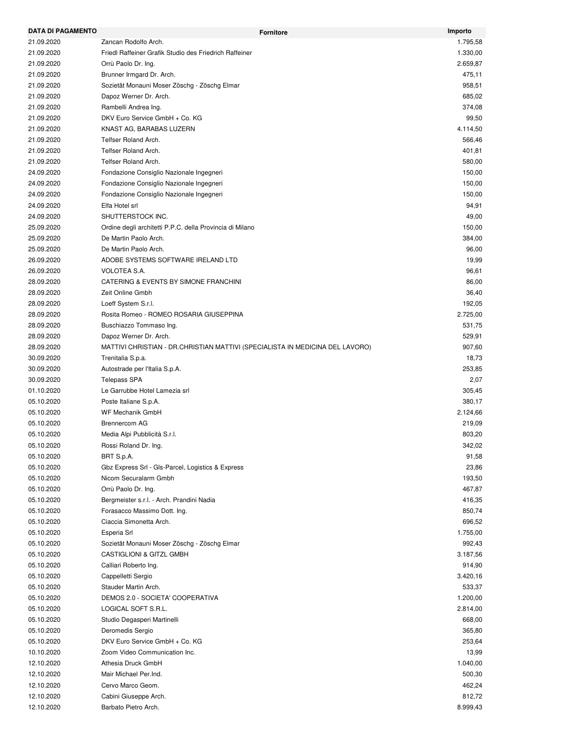| <b>DATA DI PAGAMENTO</b> |                                                                               | <b>Fornitore</b> | Importo  |
|--------------------------|-------------------------------------------------------------------------------|------------------|----------|
| 21.09.2020               | Zancan Rodolfo Arch.                                                          |                  | 1.795,58 |
| 21.09.2020               | Friedl Raffeiner Grafik Studio des Friedrich Raffeiner                        |                  | 1.330,00 |
| 21.09.2020               | Orrù Paolo Dr. Ing.                                                           |                  | 2.659,87 |
| 21.09.2020               | Brunner Irmgard Dr. Arch.                                                     |                  | 475,11   |
| 21.09.2020               | Sozietät Monauni Moser Zöschg - Zöschg Elmar                                  |                  | 958,51   |
| 21.09.2020               | Dapoz Werner Dr. Arch.                                                        |                  | 685,02   |
| 21.09.2020               | Rambelli Andrea Ing.                                                          |                  | 374,08   |
| 21.09.2020               | DKV Euro Service GmbH + Co. KG                                                |                  | 99,50    |
| 21.09.2020               | KNAST AG, BARABAS LUZERN                                                      |                  | 4.114,50 |
| 21.09.2020               | Telfser Roland Arch.                                                          |                  | 566,46   |
| 21.09.2020               | Telfser Roland Arch.                                                          |                  | 401,81   |
| 21.09.2020               | Telfser Roland Arch.                                                          |                  | 580,00   |
| 24.09.2020               | Fondazione Consiglio Nazionale Ingegneri                                      |                  | 150,00   |
| 24.09.2020               | Fondazione Consiglio Nazionale Ingegneri                                      |                  | 150,00   |
| 24.09.2020               | Fondazione Consiglio Nazionale Ingegneri                                      |                  | 150,00   |
| 24.09.2020               | Elfa Hotel srl                                                                |                  | 94,91    |
| 24.09.2020               | SHUTTERSTOCK INC.                                                             |                  | 49,00    |
| 25.09.2020               | Ordine degli architetti P.P.C. della Provincia di Milano                      |                  | 150,00   |
| 25.09.2020               | De Martin Paolo Arch.                                                         |                  | 384,00   |
| 25.09.2020               | De Martin Paolo Arch.                                                         |                  | 96,00    |
| 26.09.2020               | ADOBE SYSTEMS SOFTWARE IRELAND LTD                                            |                  | 19,99    |
| 26.09.2020               | <b>VOLOTEA S.A.</b>                                                           |                  | 96,61    |
| 28.09.2020               | CATERING & EVENTS BY SIMONE FRANCHINI                                         |                  | 86,00    |
| 28.09.2020               | Zeit Online Gmbh                                                              |                  | 36,40    |
| 28.09.2020               | Loeff System S.r.l.                                                           |                  | 192,05   |
| 28.09.2020               | Rosita Romeo - ROMEO ROSARIA GIUSEPPINA                                       |                  | 2.725,00 |
| 28.09.2020               | Buschiazzo Tommaso Ing.                                                       |                  | 531,75   |
| 28.09.2020               | Dapoz Werner Dr. Arch.                                                        |                  | 529,91   |
| 28.09.2020               | MATTIVI CHRISTIAN - DR.CHRISTIAN MATTIVI (SPECIALISTA IN MEDICINA DEL LAVORO) |                  | 907,60   |
| 30.09.2020               | Trenitalia S.p.a.                                                             |                  | 18,73    |
| 30.09.2020               | Autostrade per l'Italia S.p.A.                                                |                  | 253,85   |
| 30.09.2020               | <b>Telepass SPA</b>                                                           |                  | 2,07     |
| 01.10.2020               | Le Garrubbe Hotel Lamezia srl                                                 |                  | 305,45   |
| 05.10.2020               | Poste Italiane S.p.A.                                                         |                  | 380,17   |
| 05.10.2020               | WF Mechanik GmbH                                                              |                  | 2.124,66 |
| 05.10.2020               | <b>Brennercom AG</b>                                                          |                  | 219,09   |
| 05.10.2020               | Media Alpi Pubblicità S.r.l.                                                  |                  | 803,20   |
| 05.10.2020               | Rossi Roland Dr. Ing.                                                         |                  | 342,02   |
| 05.10.2020               | BRT S.p.A.                                                                    |                  | 91,58    |
|                          | Gbz Express Srl - Gls-Parcel, Logistics & Express                             |                  |          |
| 05.10.2020               |                                                                               |                  | 23,86    |
| 05.10.2020               | Nicom Securalarm Gmbh                                                         |                  | 193,50   |
| 05.10.2020               | Orrù Paolo Dr. Ing.                                                           |                  | 467,87   |
| 05.10.2020               | Bergmeister s.r.l. - Arch. Prandini Nadia                                     |                  | 416,35   |
| 05.10.2020               | Forasacco Massimo Dott. Ing.                                                  |                  | 850,74   |
| 05.10.2020               | Ciaccia Simonetta Arch.                                                       |                  | 696,52   |
| 05.10.2020               | Esperia Srl                                                                   |                  | 1.755,00 |
| 05.10.2020               | Sozietät Monauni Moser Zöschg - Zöschg Elmar                                  |                  | 992,43   |
| 05.10.2020               | CASTIGLIONI & GITZL GMBH                                                      |                  | 3.187,56 |
| 05.10.2020               | Calliari Roberto Ing.                                                         |                  | 914,90   |
| 05.10.2020               | Cappelletti Sergio                                                            |                  | 3.420,16 |
| 05.10.2020               | Stauder Martin Arch.                                                          |                  | 533,37   |
| 05.10.2020               | DEMOS 2.0 - SOCIETA' COOPERATIVA                                              |                  | 1.200,00 |
| 05.10.2020               | LOGICAL SOFT S.R.L.                                                           |                  | 2.814,00 |
| 05.10.2020               | Studio Degasperi Martinelli                                                   |                  | 668,00   |
| 05.10.2020               | Deromedis Sergio                                                              |                  | 365,80   |
| 05.10.2020               | DKV Euro Service GmbH + Co. KG                                                |                  | 253,64   |
| 10.10.2020               | Zoom Video Communication Inc.                                                 |                  | 13,99    |
| 12.10.2020               | Athesia Druck GmbH                                                            |                  | 1.040,00 |
| 12.10.2020               | Mair Michael Per.Ind.                                                         |                  | 500,30   |
| 12.10.2020               | Cervo Marco Geom.                                                             |                  | 462,24   |
| 12.10.2020               | Cabini Giuseppe Arch.                                                         |                  | 812,72   |
| 12.10.2020               | Barbato Pietro Arch.                                                          |                  | 8.999,43 |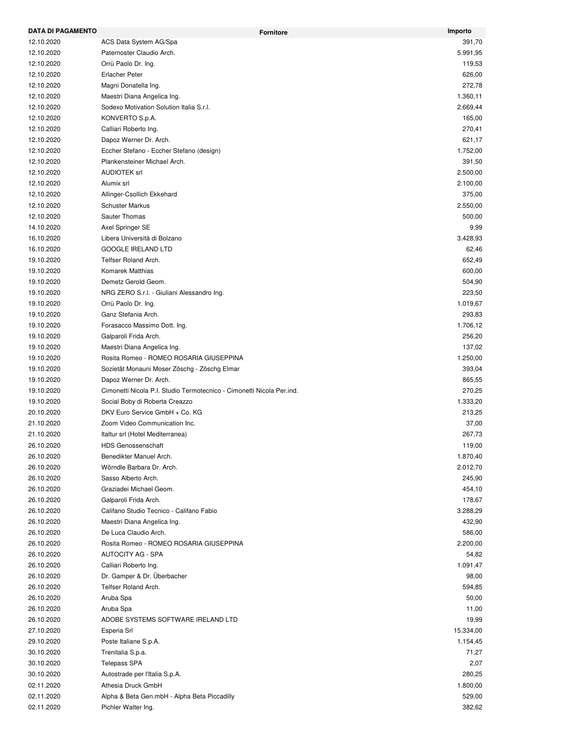| <b>DATA DI PAGAMENTO</b> | <b>Fornitore</b>                                                      | Importo   |
|--------------------------|-----------------------------------------------------------------------|-----------|
| 12.10.2020               | ACS Data System AG/Spa                                                | 391,70    |
| 12.10.2020               | Paternoster Claudio Arch.                                             | 5.991,95  |
| 12.10.2020               | Orrù Paolo Dr. Ing.                                                   | 119,53    |
| 12.10.2020               | <b>Erlacher Peter</b>                                                 | 626,00    |
| 12.10.2020               | Magni Donatella Ing.                                                  | 272,78    |
| 12.10.2020               | Maestri Diana Angelica Ing.                                           | 1.360,11  |
| 12.10.2020               | Sodexo Motivation Solution Italia S.r.l.                              | 2.669,44  |
| 12.10.2020               | KONVERTO S.p.A.                                                       | 165,00    |
| 12.10.2020               | Calliari Roberto Ing.                                                 | 270,41    |
| 12.10.2020               | Dapoz Werner Dr. Arch.                                                | 621,17    |
| 12.10.2020               | Eccher Stefano - Eccher Stefano (design)                              | 1.752,00  |
| 12.10.2020               | Plankensteiner Michael Arch.                                          | 391,50    |
| 12.10.2020               | <b>AUDIOTEK srl</b>                                                   | 2.500,00  |
| 12.10.2020               | Alumix srl                                                            | 2.100,00  |
| 12.10.2020               | Allinger-Csollich Ekkehard                                            | 375,00    |
| 12.10.2020               | <b>Schuster Markus</b>                                                | 2.550,00  |
| 12.10.2020               | Sauter Thomas                                                         | 500,00    |
| 14.10.2020               | Axel Springer SE                                                      | 9,99      |
| 16.10.2020               | Libera Università di Bolzano                                          | 3.428,93  |
| 16.10.2020               | <b>GOOGLE IRELAND LTD</b>                                             | 62,46     |
| 19.10.2020               | Telfser Roland Arch.                                                  | 652,49    |
| 19.10.2020               | Komarek Matthias                                                      | 600,00    |
| 19.10.2020               | Demetz Gerold Geom.                                                   | 504,90    |
| 19.10.2020               | NRG ZERO S.r.l. - Giuliani Alessandro Ing.                            | 223,50    |
| 19.10.2020               | Orrù Paolo Dr. Ing.                                                   | 1.019,67  |
| 19.10.2020               | Ganz Stefania Arch.                                                   | 293,83    |
| 19.10.2020               | Forasacco Massimo Dott. Ing.                                          | 1.706,12  |
| 19.10.2020               | Galparoli Frida Arch.                                                 | 256,20    |
| 19.10.2020               | Maestri Diana Angelica Ing.                                           | 137,02    |
| 19.10.2020               | Rosita Romeo - ROMEO ROSARIA GIUSEPPINA                               | 1.250,00  |
| 19.10.2020               | Sozietät Monauni Moser Zöschg - Zöschg Elmar                          | 393,04    |
| 19.10.2020               | Dapoz Werner Dr. Arch.                                                | 865,55    |
| 19.10.2020               | Cimonetti Nicola P.I. Studio Termotecnico - Cimonetti Nicola Per.ind. | 270,25    |
| 19.10.2020               | Social Boby di Roberta Creazzo                                        | 1.333,20  |
| 20.10.2020               | DKV Euro Service GmbH + Co. KG                                        | 213,25    |
| 21.10.2020               | Zoom Video Communication Inc.                                         | 37,00     |
| 21.10.2020               | Italtur srl (Hotel Mediterranea)                                      | 267,73    |
| 26.10.2020               | <b>HDS Genossenschaft</b>                                             | 119,00    |
| 26.10.2020               | Benedikter Manuel Arch.                                               | 1.870,40  |
| 26.10.2020               | Wörndle Barbara Dr. Arch.                                             | 2.012,70  |
| 26.10.2020               | Sasso Alberto Arch.                                                   | 245,90    |
| 26.10.2020               | Graziadei Michael Geom.                                               | 454,10    |
| 26.10.2020               | Galparoli Frida Arch.                                                 | 178,67    |
| 26.10.2020               | Califano Studio Tecnico - Califano Fabio                              | 3.288,29  |
| 26.10.2020               | Maestri Diana Angelica Ing.                                           | 432,90    |
| 26.10.2020               | De Luca Claudio Arch.                                                 | 586,00    |
| 26.10.2020               | Rosita Romeo - ROMEO ROSARIA GIUSEPPINA                               | 2.200,00  |
| 26.10.2020               | <b>AUTOCITY AG - SPA</b>                                              | 54,82     |
| 26.10.2020               | Calliari Roberto Ing.                                                 | 1.091,47  |
| 26.10.2020               | Dr. Gamper & Dr. Überbacher                                           | 98,00     |
|                          | Telfser Roland Arch.                                                  |           |
| 26.10.2020               |                                                                       | 594,85    |
| 26.10.2020               | Aruba Spa                                                             | 50,00     |
| 26.10.2020               | Aruba Spa                                                             | 11,00     |
| 26.10.2020               | ADOBE SYSTEMS SOFTWARE IRELAND LTD                                    | 19,99     |
| 27.10.2020               | Esperia Srl                                                           | 15.334,00 |
| 29.10.2020               | Poste Italiane S.p.A.                                                 | 1.154,45  |
| 30.10.2020               | Trenitalia S.p.a.                                                     | 71,27     |
| 30.10.2020               | <b>Telepass SPA</b>                                                   | 2,07      |
| 30.10.2020               | Autostrade per l'Italia S.p.A.                                        | 280,25    |
| 02.11.2020               | Athesia Druck GmbH                                                    | 1.800,00  |
| 02.11.2020               | Alpha & Beta Gen.mbH - Alpha Beta Piccadilly                          | 529,00    |
| 02.11.2020               | Pichler Walter Ing.                                                   | 382,62    |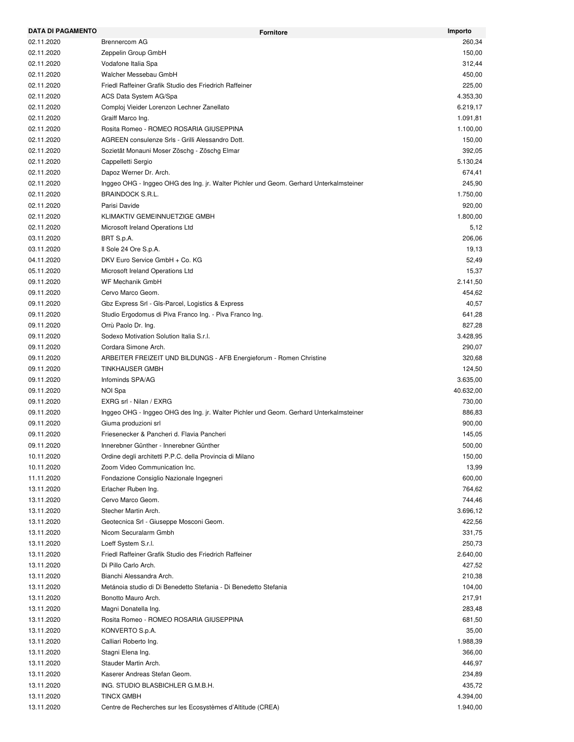| <b>DATA DI PAGAMENTO</b> | <b>Fornitore</b>                                                                       | Importo               |
|--------------------------|----------------------------------------------------------------------------------------|-----------------------|
| 02.11.2020               | <b>Brennercom AG</b>                                                                   | 260,34                |
| 02.11.2020               | Zeppelin Group GmbH                                                                    | 150,00                |
| 02.11.2020               | Vodafone Italia Spa                                                                    | 312,44                |
| 02.11.2020               | Walcher Messebau GmbH                                                                  | 450,00                |
| 02.11.2020               | Friedl Raffeiner Grafik Studio des Friedrich Raffeiner                                 | 225,00                |
| 02.11.2020               | ACS Data System AG/Spa                                                                 | 4.353,30              |
| 02.11.2020               | Comploj Vieider Lorenzon Lechner Zanellato                                             | 6.219,17              |
| 02.11.2020               | Graiff Marco Ing.                                                                      | 1.091,81              |
| 02.11.2020               | Rosita Romeo - ROMEO ROSARIA GIUSEPPINA                                                | 1.100,00              |
| 02.11.2020               | AGREEN consulenze Srls - Grilli Alessandro Dott.                                       | 150,00                |
| 02.11.2020               | Sozietät Monauni Moser Zöschg - Zöschg Elmar                                           | 392,05                |
| 02.11.2020               | Cappelletti Sergio                                                                     | 5.130,24              |
| 02.11.2020               | Dapoz Werner Dr. Arch.                                                                 | 674,41                |
| 02.11.2020               | Inggeo OHG - Inggeo OHG des Ing. jr. Walter Pichler und Geom. Gerhard Unterkalmsteiner | 245,90                |
| 02.11.2020               | <b>BRAINDOCK S.R.L.</b>                                                                | 1.750,00              |
| 02.11.2020               | Parisi Davide                                                                          | 920,00                |
| 02.11.2020               | KLIMAKTIV GEMEINNUETZIGE GMBH                                                          | 1.800,00              |
| 02.11.2020               | Microsoft Ireland Operations Ltd                                                       | 5,12                  |
| 03.11.2020               | BRT S.p.A.                                                                             | 206,06                |
| 03.11.2020               | Il Sole 24 Ore S.p.A.                                                                  | 19,13                 |
| 04.11.2020               | DKV Euro Service GmbH + Co. KG                                                         | 52,49                 |
| 05.11.2020               | Microsoft Ireland Operations Ltd                                                       | 15,37                 |
| 09.11.2020               | <b>WF Mechanik GmbH</b>                                                                | 2.141,50              |
| 09.11.2020               | Cervo Marco Geom.                                                                      | 454,62                |
| 09.11.2020               | Gbz Express Srl - Gls-Parcel, Logistics & Express                                      | 40,57                 |
| 09.11.2020               | Studio Ergodomus di Piva Franco Ing. - Piva Franco Ing.                                | 641,28                |
| 09.11.2020               | Orrù Paolo Dr. Ing.                                                                    | 827,28                |
| 09.11.2020               | Sodexo Motivation Solution Italia S.r.l.                                               | 3.428,95              |
| 09.11.2020               | Cordara Simone Arch.                                                                   | 290,07                |
| 09.11.2020               | ARBEITER FREIZEIT UND BILDUNGS - AFB Energieforum - Romen Christine                    | 320,68                |
| 09.11.2020               | TINKHAUSER GMBH                                                                        | 124,50                |
| 09.11.2020               | Infominds SPA/AG                                                                       |                       |
| 09.11.2020               |                                                                                        | 3.635,00<br>40.632,00 |
|                          | NOI Spa<br>EXRG srl - Nilan / EXRG                                                     |                       |
| 09.11.2020               |                                                                                        | 730,00                |
| 09.11.2020               | Inggeo OHG - Inggeo OHG des Ing. jr. Walter Pichler und Geom. Gerhard Unterkalmsteiner | 886,83                |
| 09.11.2020               | Giuma produzioni srl                                                                   | 900,00                |
| 09.11.2020               | Friesenecker & Pancheri d. Flavia Pancheri                                             | 145,05                |
| 09.11.2020               | Innerebner Günther - Innerebner Günther                                                | 500,00                |
| 10.11.2020               | Ordine degli architetti P.P.C. della Provincia di Milano                               | 150,00                |
| 10.11.2020               | Zoom Video Communication Inc.                                                          | 13,99                 |
| 11.11.2020               | Fondazione Consiglio Nazionale Ingegneri                                               | 600,00                |
| 13.11.2020               | Erlacher Ruben Ing.                                                                    | 764,62                |
| 13.11.2020               | Cervo Marco Geom.                                                                      | 744,46                |
| 13.11.2020               | Stecher Martin Arch.                                                                   | 3.696,12              |
| 13.11.2020               | Geotecnica Srl - Giuseppe Mosconi Geom.                                                | 422,56                |
| 13.11.2020               | Nicom Securalarm Gmbh                                                                  | 331,75                |
| 13.11.2020               | Loeff System S.r.l.                                                                    | 250,73                |
| 13.11.2020               | Friedl Raffeiner Grafik Studio des Friedrich Raffeiner                                 | 2.640,00              |
| 13.11.2020               | Di Pillo Carlo Arch.                                                                   | 427,52                |
| 13.11.2020               | Bianchi Alessandra Arch.                                                               | 210,38                |
| 13.11.2020               | Metánoia studio di Di Benedetto Stefania - Di Benedetto Stefania                       | 104,00                |
| 13.11.2020               | Bonotto Mauro Arch.                                                                    | 217,91                |
| 13.11.2020               | Magni Donatella Ing.                                                                   | 283,48                |
| 13.11.2020               | Rosita Romeo - ROMEO ROSARIA GIUSEPPINA                                                | 681,50                |
| 13.11.2020               | KONVERTO S.p.A.                                                                        | 35,00                 |
| 13.11.2020               | Calliari Roberto Ing.                                                                  | 1.988,39              |
| 13.11.2020               | Stagni Elena Ing.                                                                      | 366,00                |
| 13.11.2020               | Stauder Martin Arch.                                                                   | 446,97                |
| 13.11.2020               | Kaserer Andreas Stefan Geom.                                                           | 234,89                |
| 13.11.2020               | ING. STUDIO BLASBICHLER G.M.B.H.                                                       | 435,72                |
| 13.11.2020               | <b>TINCX GMBH</b>                                                                      | 4.394,00              |
| 13.11.2020               | Centre de Recherches sur les Ecosystèmes d'Altitude (CREA)                             | 1.940,00              |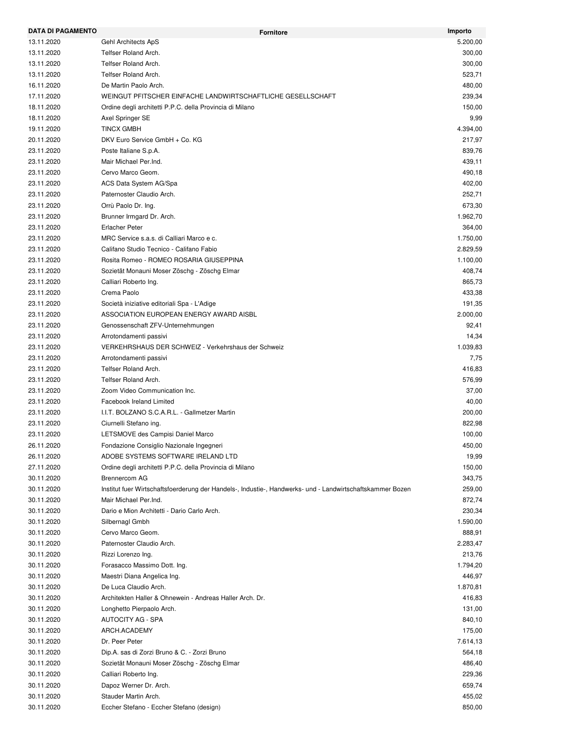| <b>DATA DI PAGAMENTO</b> | <b>Fornitore</b>                                                                                          | Importo            |
|--------------------------|-----------------------------------------------------------------------------------------------------------|--------------------|
| 13.11.2020               | Gehl Architects ApS                                                                                       | 5.200,00           |
| 13.11.2020               | Telfser Roland Arch.                                                                                      | 300,00             |
| 13.11.2020               | Telfser Roland Arch.                                                                                      | 300,00             |
| 13.11.2020               | Telfser Roland Arch.                                                                                      | 523,71             |
| 16.11.2020               | De Martin Paolo Arch.                                                                                     | 480,00             |
| 17.11.2020               | WEINGUT PFITSCHER EINFACHE LANDWIRTSCHAFTLICHE GESELLSCHAFT                                               | 239,34             |
| 18.11.2020               | Ordine degli architetti P.P.C. della Provincia di Milano                                                  | 150,00             |
| 18.11.2020               | Axel Springer SE                                                                                          | 9,99               |
| 19.11.2020               | <b>TINCX GMBH</b>                                                                                         | 4.394,00           |
| 20.11.2020               | DKV Euro Service GmbH + Co. KG                                                                            | 217,97             |
| 23.11.2020               | Poste Italiane S.p.A.                                                                                     | 839,76             |
| 23.11.2020               | Mair Michael Per. Ind.                                                                                    | 439,11             |
| 23.11.2020               | Cervo Marco Geom.                                                                                         | 490,18             |
| 23.11.2020               | ACS Data System AG/Spa                                                                                    | 402,00             |
| 23.11.2020               | Paternoster Claudio Arch.                                                                                 | 252,71             |
| 23.11.2020               | Orrù Paolo Dr. Ing.                                                                                       | 673,30             |
| 23.11.2020               | Brunner Irmgard Dr. Arch.                                                                                 | 1.962,70           |
| 23.11.2020               | <b>Erlacher Peter</b>                                                                                     | 364,00             |
| 23.11.2020               | MRC Service s.a.s. di Calliari Marco e c.                                                                 | 1.750,00           |
| 23.11.2020               | Califano Studio Tecnico - Califano Fabio                                                                  | 2.829,59           |
| 23.11.2020               | Rosita Romeo - ROMEO ROSARIA GIUSEPPINA                                                                   | 1.100,00           |
| 23.11.2020               | Sozietät Monauni Moser Zöschg - Zöschg Elmar                                                              | 408,74             |
| 23.11.2020               | Calliari Roberto Ing.                                                                                     | 865,73             |
| 23.11.2020               | Crema Paolo                                                                                               | 433,38             |
| 23.11.2020               | Società iniziative editoriali Spa - L'Adige                                                               | 191,35             |
| 23.11.2020               | ASSOCIATION EUROPEAN ENERGY AWARD AISBL                                                                   | 2.000,00           |
| 23.11.2020               | Genossenschaft ZFV-Unternehmungen                                                                         | 92,41              |
| 23.11.2020               | Arrotondamenti passivi                                                                                    | 14,34              |
| 23.11.2020               | VERKEHRSHAUS DER SCHWEIZ - Verkehrshaus der Schweiz                                                       | 1.039,83           |
| 23.11.2020               | Arrotondamenti passivi                                                                                    | 7,75               |
| 23.11.2020               | Telfser Roland Arch.                                                                                      | 416,83             |
| 23.11.2020               | Telfser Roland Arch.                                                                                      | 576,99             |
| 23.11.2020               | Zoom Video Communication Inc.                                                                             | 37,00              |
| 23.11.2020               | Facebook Ireland Limited                                                                                  | 40,00              |
| 23.11.2020               | I.I.T. BOLZANO S.C.A.R.L. - Gallmetzer Martin                                                             | 200,00             |
| 23.11.2020               | Ciurnelli Stefano ing.                                                                                    | 822,98             |
| 23.11.2020               | LETSMOVE des Campisi Daniel Marco                                                                         | 100,00             |
| 26.11.2020               | Fondazione Consiglio Nazionale Ingegneri                                                                  | 450,00             |
| 26.11.2020               | ADOBE SYSTEMS SOFTWARE IRELAND LTD                                                                        | 19,99              |
| 27.11.2020               | Ordine degli architetti P.P.C. della Provincia di Milano                                                  | 150,00             |
| 30.11.2020               | Brennercom AG                                                                                             | 343,75             |
| 30.11.2020               | Institut fuer Wirtschaftsfoerderung der Handels-, Industie-, Handwerks- und - Landwirtschaftskammer Bozen | 259,00             |
| 30.11.2020               | Mair Michael Per.Ind.                                                                                     | 872,74             |
| 30.11.2020               | Dario e Mion Architetti - Dario Carlo Arch.                                                               | 230,34             |
| 30.11.2020               | Silbernagl Gmbh                                                                                           | 1.590,00           |
| 30.11.2020               | Cervo Marco Geom.                                                                                         | 888,91             |
| 30.11.2020               | Paternoster Claudio Arch.                                                                                 | 2.283,47           |
| 30.11.2020               | Rizzi Lorenzo Ing.                                                                                        | 213,76             |
| 30.11.2020               | Forasacco Massimo Dott. Ing.                                                                              | 1.794,20           |
| 30.11.2020               | Maestri Diana Angelica Ing.                                                                               | 446,97             |
| 30.11.2020               | De Luca Claudio Arch.                                                                                     | 1.870,81           |
| 30.11.2020               | Architekten Haller & Ohnewein - Andreas Haller Arch. Dr.                                                  | 416,83             |
| 30.11.2020               | Longhetto Pierpaolo Arch.                                                                                 | 131,00             |
| 30.11.2020               | AUTOCITY AG - SPA                                                                                         | 840,10             |
|                          |                                                                                                           |                    |
| 30.11.2020               | ARCH.ACADEMY<br>Dr. Peer Peter                                                                            | 175,00<br>7.614,13 |
| 30.11.2020               |                                                                                                           |                    |
| 30.11.2020               | Dip.A. sas di Zorzi Bruno & C. - Zorzi Bruno                                                              | 564,18             |
| 30.11.2020               | Sozietät Monauni Moser Zöschg - Zöschg Elmar                                                              | 486,40             |
| 30.11.2020               | Calliari Roberto Ing.                                                                                     | 229,36             |
| 30.11.2020               | Dapoz Werner Dr. Arch.                                                                                    | 659,74             |
| 30.11.2020               | Stauder Martin Arch.                                                                                      | 455,02             |
| 30.11.2020               | Eccher Stefano - Eccher Stefano (design)                                                                  | 850,00             |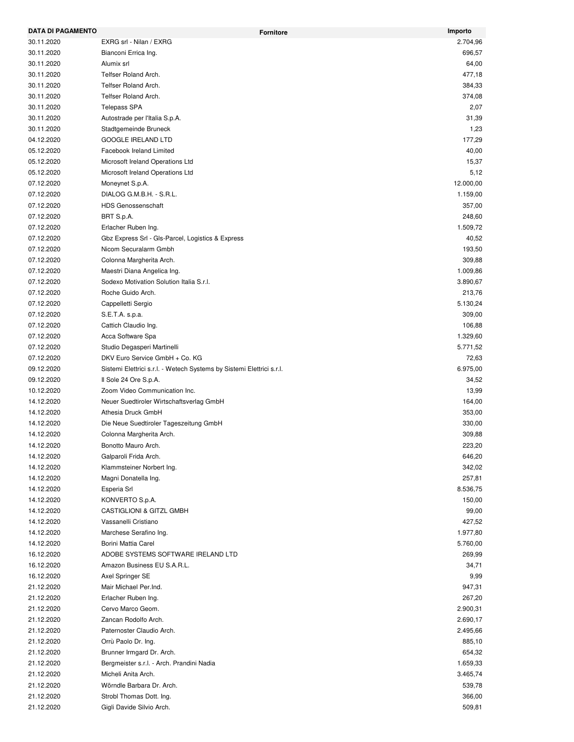| <b>DATA DI PAGAMENTO</b> |                                                                       | Importo<br>Fornitore |
|--------------------------|-----------------------------------------------------------------------|----------------------|
| 30.11.2020               | EXRG srl - Nilan / EXRG                                               | 2.704,96             |
| 30.11.2020               | Bianconi Errica Ing.                                                  | 696,57               |
| 30.11.2020               | Alumix srl                                                            | 64,00                |
| 30.11.2020               | Telfser Roland Arch.                                                  | 477,18               |
| 30.11.2020               | Telfser Roland Arch.                                                  | 384,33               |
| 30.11.2020               | Telfser Roland Arch.                                                  | 374,08               |
| 30.11.2020               | <b>Telepass SPA</b>                                                   | 2,07                 |
| 30.11.2020               | Autostrade per l'Italia S.p.A.                                        | 31,39                |
| 30.11.2020               | Stadtgemeinde Bruneck                                                 | 1,23                 |
| 04.12.2020               | <b>GOOGLE IRELAND LTD</b>                                             | 177,29               |
| 05.12.2020               | Facebook Ireland Limited                                              | 40,00                |
| 05.12.2020               | Microsoft Ireland Operations Ltd                                      | 15,37                |
| 05.12.2020               | Microsoft Ireland Operations Ltd                                      | 5,12                 |
| 07.12.2020               | Moneynet S.p.A.                                                       | 12.000,00            |
| 07.12.2020               | DIALOG G.M.B.H. - S.R.L.                                              | 1.159,00             |
| 07.12.2020               | <b>HDS Genossenschaft</b>                                             | 357,00               |
| 07.12.2020               | BRT S.p.A.                                                            | 248,60               |
| 07.12.2020               | Erlacher Ruben Ing.                                                   | 1.509,72             |
| 07.12.2020               | Gbz Express Srl - Gls-Parcel, Logistics & Express                     | 40,52                |
| 07.12.2020               | Nicom Securalarm Gmbh                                                 | 193,50               |
| 07.12.2020               | Colonna Margherita Arch.                                              | 309,88               |
| 07.12.2020               | Maestri Diana Angelica Ing.                                           | 1.009,86             |
| 07.12.2020               | Sodexo Motivation Solution Italia S.r.l.                              | 3.890,67             |
| 07.12.2020               | Roche Guido Arch.                                                     | 213,76               |
| 07.12.2020               | Cappelletti Sergio                                                    | 5.130,24             |
| 07.12.2020               | S.E.T.A. s.p.a.                                                       | 309,00               |
| 07.12.2020               | Cattich Claudio Ing.                                                  | 106,88               |
| 07.12.2020               | Acca Software Spa                                                     | 1.329,60             |
| 07.12.2020               | Studio Degasperi Martinelli                                           | 5.771,52             |
| 07.12.2020               | DKV Euro Service GmbH + Co. KG                                        | 72,63                |
| 09.12.2020               | Sistemi Elettrici s.r.l. - Wetech Systems by Sistemi Elettrici s.r.l. | 6.975,00             |
| 09.12.2020               | Il Sole 24 Ore S.p.A.                                                 | 34,52                |
| 10.12.2020               | Zoom Video Communication Inc.                                         | 13,99                |
| 14.12.2020               | Neuer Suedtiroler Wirtschaftsverlag GmbH                              | 164,00               |
| 14.12.2020               | Athesia Druck GmbH                                                    | 353,00               |
| 14.12.2020               | Die Neue Suedtiroler Tageszeitung GmbH                                | 330,00               |
| 14.12.2020               | Colonna Margherita Arch.                                              | 309,88               |
| 14.12.2020               | Bonotto Mauro Arch.                                                   | 223,20               |
| 14.12.2020               | Galparoli Frida Arch.                                                 | 646,20               |
| 14.12.2020               | Klammsteiner Norbert Ing.                                             | 342,02               |
| 14.12.2020               | Magni Donatella Ing.                                                  | 257,81               |
| 14.12.2020               | Esperia Srl                                                           | 8.536,75             |
| 14.12.2020               | KONVERTO S.p.A.                                                       | 150,00               |
| 14.12.2020               | CASTIGLIONI & GITZL GMBH                                              | 99,00                |
| 14.12.2020               | Vassanelli Cristiano                                                  | 427,52               |
| 14.12.2020               | Marchese Serafino Ing.                                                | 1.977,80             |
| 14.12.2020               | Borini Mattia Carel                                                   | 5.760,00             |
| 16.12.2020               | ADOBE SYSTEMS SOFTWARE IRELAND LTD                                    | 269,99               |
| 16.12.2020               | Amazon Business EU S.A.R.L.                                           | 34,71                |
| 16.12.2020               | Axel Springer SE                                                      | 9,99                 |
| 21.12.2020               | Mair Michael Per.Ind.                                                 | 947,31               |
| 21.12.2020               | Erlacher Ruben Ing.                                                   | 267,20               |
| 21.12.2020               | Cervo Marco Geom.                                                     | 2.900,31             |
| 21.12.2020               | Zancan Rodolfo Arch.                                                  | 2.690,17             |
| 21.12.2020               | Paternoster Claudio Arch.                                             | 2.495,66             |
| 21.12.2020               | Orrù Paolo Dr. Ing.                                                   | 885,10               |
| 21.12.2020               | Brunner Irmgard Dr. Arch.                                             | 654,32               |
| 21.12.2020               | Bergmeister s.r.l. - Arch. Prandini Nadia                             | 1.659,33             |
| 21.12.2020               | Micheli Anita Arch.                                                   | 3.465,74             |
| 21.12.2020               | Wörndle Barbara Dr. Arch.                                             | 539,78               |
| 21.12.2020               | Strobl Thomas Dott. Ing.                                              | 366,00               |
| 21.12.2020               | Gigli Davide Silvio Arch.                                             | 509,81               |
|                          |                                                                       |                      |